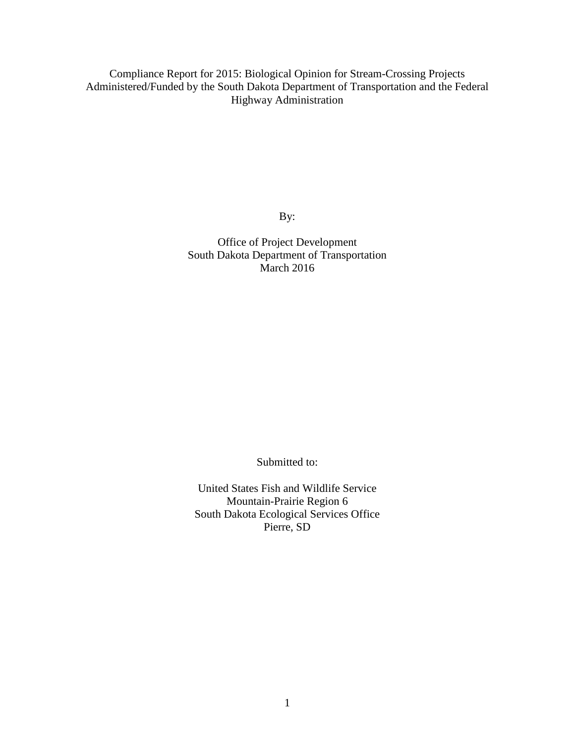Compliance Report for 2015: Biological Opinion for Stream-Crossing Projects Administered/Funded by the South Dakota Department of Transportation and the Federal Highway Administration

By:

Office of Project Development South Dakota Department of Transportation March 2016

Submitted to:

United States Fish and Wildlife Service Mountain-Prairie Region 6 South Dakota Ecological Services Office Pierre, SD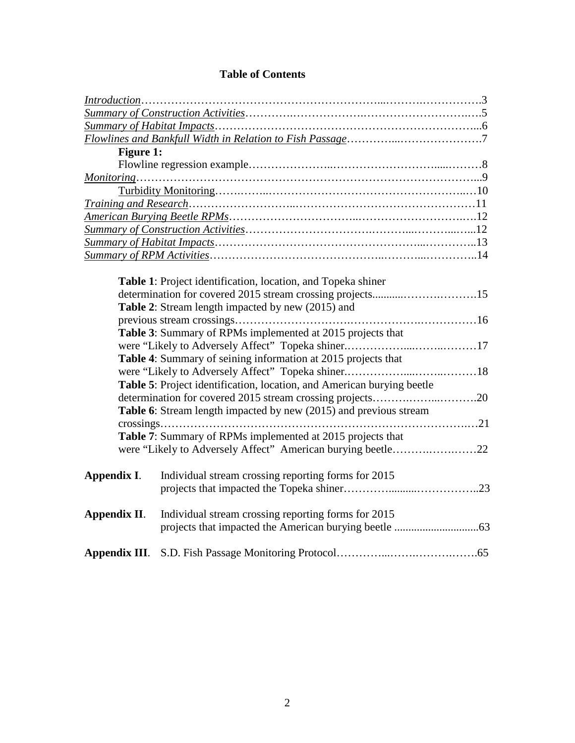|  | <b>Table of Contents</b> |  |
|--|--------------------------|--|
|--|--------------------------|--|

| <b>Figure 1:</b> |                                                                        |  |
|------------------|------------------------------------------------------------------------|--|
|                  |                                                                        |  |
|                  |                                                                        |  |
|                  |                                                                        |  |
|                  |                                                                        |  |
|                  |                                                                        |  |
|                  |                                                                        |  |
|                  |                                                                        |  |
|                  |                                                                        |  |
|                  |                                                                        |  |
|                  | Table 1: Project identification, location, and Topeka shiner           |  |
|                  |                                                                        |  |
|                  | Table 2: Stream length impacted by new (2015) and                      |  |
|                  |                                                                        |  |
|                  | <b>Table 3:</b> Summary of RPMs implemented at 2015 projects that      |  |
|                  |                                                                        |  |
|                  | Table 4: Summary of seining information at 2015 projects that          |  |
|                  |                                                                        |  |
|                  | Table 5: Project identification, location, and American burying beetle |  |
|                  |                                                                        |  |
|                  | Table 6: Stream length impacted by new (2015) and previous stream      |  |
|                  |                                                                        |  |
|                  | Table 7: Summary of RPMs implemented at 2015 projects that             |  |
|                  |                                                                        |  |
|                  |                                                                        |  |
| Appendix I.      | Individual stream crossing reporting forms for 2015                    |  |
|                  |                                                                        |  |
|                  |                                                                        |  |
| Appendix II.     | Individual stream crossing reporting forms for 2015                    |  |
|                  |                                                                        |  |
|                  |                                                                        |  |
|                  |                                                                        |  |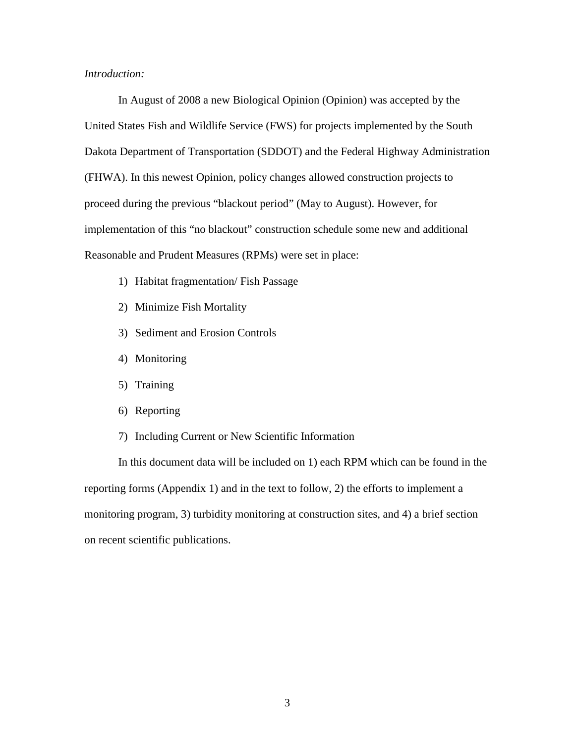#### *Introduction:*

In August of 2008 a new Biological Opinion (Opinion) was accepted by the United States Fish and Wildlife Service (FWS) for projects implemented by the South Dakota Department of Transportation (SDDOT) and the Federal Highway Administration (FHWA). In this newest Opinion, policy changes allowed construction projects to proceed during the previous "blackout period" (May to August). However, for implementation of this "no blackout" construction schedule some new and additional Reasonable and Prudent Measures (RPMs) were set in place:

- 1) Habitat fragmentation/ Fish Passage
- 2) Minimize Fish Mortality
- 3) Sediment and Erosion Controls
- 4) Monitoring
- 5) Training
- 6) Reporting
- 7) Including Current or New Scientific Information

In this document data will be included on 1) each RPM which can be found in the reporting forms (Appendix 1) and in the text to follow, 2) the efforts to implement a monitoring program, 3) turbidity monitoring at construction sites, and 4) a brief section on recent scientific publications.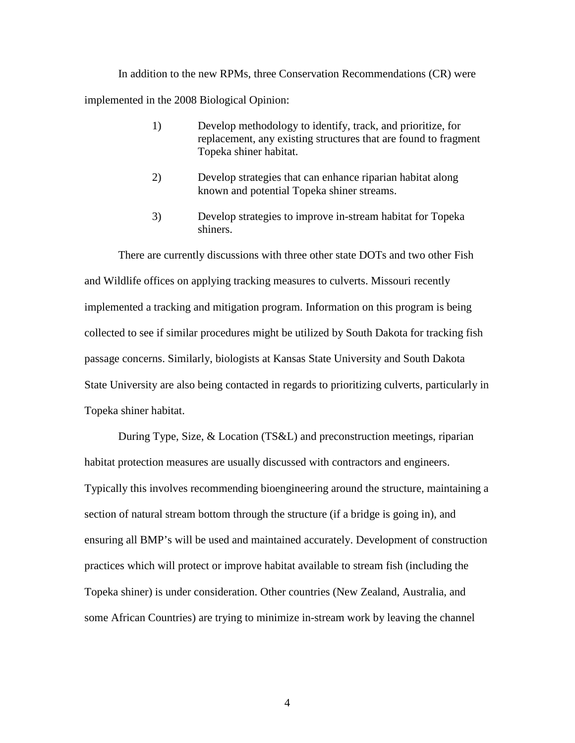In addition to the new RPMs, three Conservation Recommendations (CR) were implemented in the 2008 Biological Opinion:

- 1) Develop methodology to identify, track, and prioritize, for replacement, any existing structures that are found to fragment Topeka shiner habitat.
- 2) Develop strategies that can enhance riparian habitat along known and potential Topeka shiner streams.
- 3) Develop strategies to improve in-stream habitat for Topeka shiners.

There are currently discussions with three other state DOTs and two other Fish and Wildlife offices on applying tracking measures to culverts. Missouri recently implemented a tracking and mitigation program. Information on this program is being collected to see if similar procedures might be utilized by South Dakota for tracking fish passage concerns. Similarly, biologists at Kansas State University and South Dakota State University are also being contacted in regards to prioritizing culverts, particularly in Topeka shiner habitat.

During Type, Size, & Location (TS&L) and preconstruction meetings, riparian habitat protection measures are usually discussed with contractors and engineers. Typically this involves recommending bioengineering around the structure, maintaining a section of natural stream bottom through the structure (if a bridge is going in), and ensuring all BMP's will be used and maintained accurately. Development of construction practices which will protect or improve habitat available to stream fish (including the Topeka shiner) is under consideration. Other countries (New Zealand, Australia, and some African Countries) are trying to minimize in-stream work by leaving the channel

4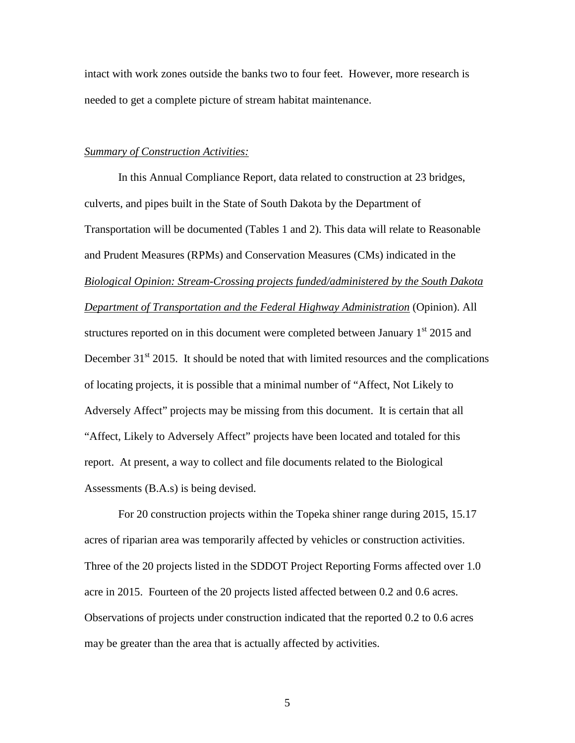intact with work zones outside the banks two to four feet. However, more research is needed to get a complete picture of stream habitat maintenance.

#### *Summary of Construction Activities:*

In this Annual Compliance Report, data related to construction at 23 bridges, culverts, and pipes built in the State of South Dakota by the Department of Transportation will be documented (Tables 1 and 2). This data will relate to Reasonable and Prudent Measures (RPMs) and Conservation Measures (CMs) indicated in the *Biological Opinion: Stream-Crossing projects funded/administered by the South Dakota Department of Transportation and the Federal Highway Administration* (Opinion). All structures reported on in this document were completed between January  $1<sup>st</sup>$  2015 and December  $31<sup>st</sup>$  2015. It should be noted that with limited resources and the complications of locating projects, it is possible that a minimal number of "Affect, Not Likely to Adversely Affect" projects may be missing from this document. It is certain that all "Affect, Likely to Adversely Affect" projects have been located and totaled for this report. At present, a way to collect and file documents related to the Biological Assessments (B.A.s) is being devised.

For 20 construction projects within the Topeka shiner range during 2015, 15.17 acres of riparian area was temporarily affected by vehicles or construction activities. Three of the 20 projects listed in the SDDOT Project Reporting Forms affected over 1.0 acre in 2015. Fourteen of the 20 projects listed affected between 0.2 and 0.6 acres. Observations of projects under construction indicated that the reported 0.2 to 0.6 acres may be greater than the area that is actually affected by activities.

5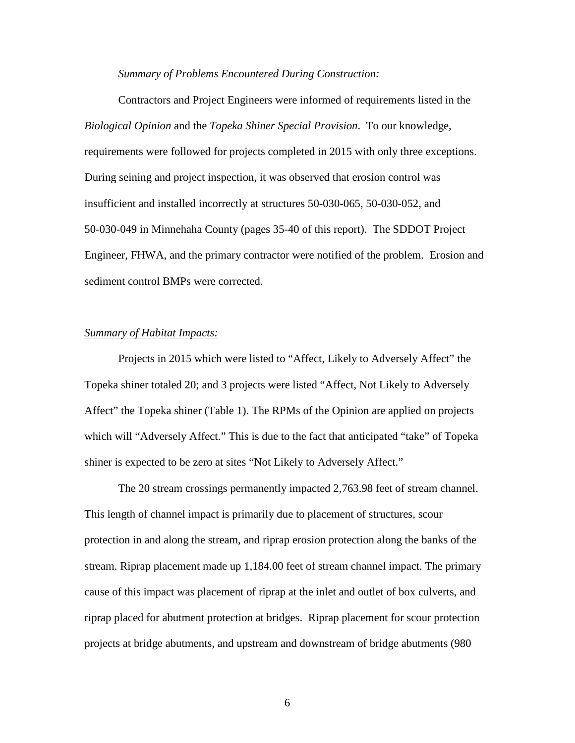#### *Summary of Problems Encountered During Construction:*

Contractors and Project Engineers were informed of requirements listed in the *Biological Opinion* and the *Topeka Shiner Special Provision*. To our knowledge, requirements were followed for projects completed in 2015 with only three exceptions. During seining and project inspection, it was observed that erosion control was insufficient and installed incorrectly at structures 50-030-065, 50-030-052, and 50-030-049 in Minnehaha County (pages 35-40 of this report). The SDDOT Project Engineer, FHWA, and the primary contractor were notified of the problem. Erosion and sediment control BMPs were corrected.

#### *Summary of Habitat Impacts:*

Projects in 2015 which were listed to "Affect, Likely to Adversely Affect" the Topeka shiner totaled 20; and 3 projects were listed "Affect, Not Likely to Adversely Affect" the Topeka shiner (Table 1). The RPMs of the Opinion are applied on projects which will "Adversely Affect." This is due to the fact that anticipated "take" of Topeka shiner is expected to be zero at sites "Not Likely to Adversely Affect."

The 20 stream crossings permanently impacted 2,763.98 feet of stream channel. This length of channel impact is primarily due to placement of structures, scour protection in and along the stream, and riprap erosion protection along the banks of the stream. Riprap placement made up 1,184.00 feet of stream channel impact. The primary cause of this impact was placement of riprap at the inlet and outlet of box culverts, and riprap placed for abutment protection at bridges. Riprap placement for scour protection projects at bridge abutments, and upstream and downstream of bridge abutments (980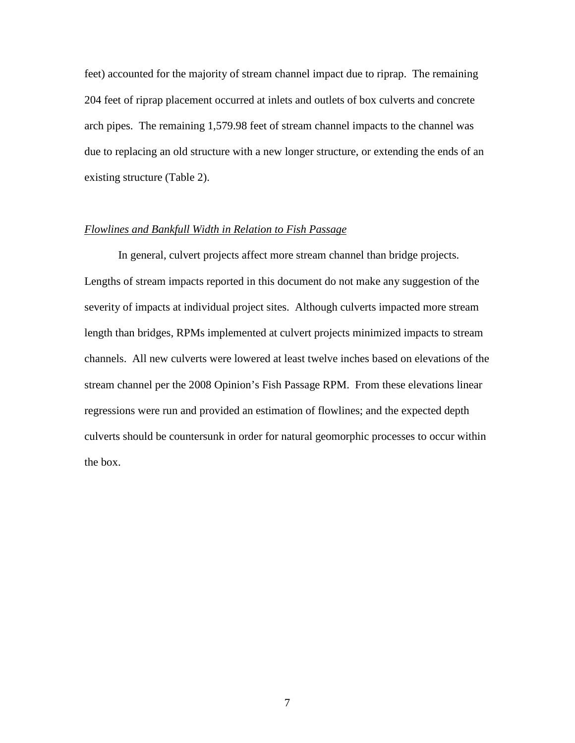feet) accounted for the majority of stream channel impact due to riprap. The remaining 204 feet of riprap placement occurred at inlets and outlets of box culverts and concrete arch pipes. The remaining 1,579.98 feet of stream channel impacts to the channel was due to replacing an old structure with a new longer structure, or extending the ends of an existing structure (Table 2).

#### *Flowlines and Bankfull Width in Relation to Fish Passage*

In general, culvert projects affect more stream channel than bridge projects. Lengths of stream impacts reported in this document do not make any suggestion of the severity of impacts at individual project sites. Although culverts impacted more stream length than bridges, RPMs implemented at culvert projects minimized impacts to stream channels. All new culverts were lowered at least twelve inches based on elevations of the stream channel per the 2008 Opinion's Fish Passage RPM. From these elevations linear regressions were run and provided an estimation of flowlines; and the expected depth culverts should be countersunk in order for natural geomorphic processes to occur within the box.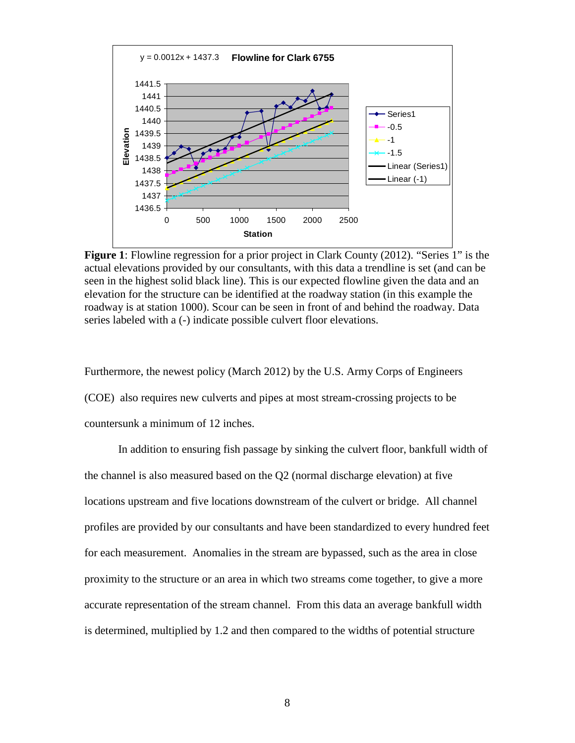

**Figure 1**: Flowline regression for a prior project in Clark County (2012). "Series 1" is the actual elevations provided by our consultants, with this data a trendline is set (and can be seen in the highest solid black line). This is our expected flowline given the data and an elevation for the structure can be identified at the roadway station (in this example the roadway is at station 1000). Scour can be seen in front of and behind the roadway. Data series labeled with a (-) indicate possible culvert floor elevations.

Furthermore, the newest policy (March 2012) by the U.S. Army Corps of Engineers (COE) also requires new culverts and pipes at most stream-crossing projects to be countersunk a minimum of 12 inches.

In addition to ensuring fish passage by sinking the culvert floor, bankfull width of the channel is also measured based on the Q2 (normal discharge elevation) at five locations upstream and five locations downstream of the culvert or bridge. All channel profiles are provided by our consultants and have been standardized to every hundred feet for each measurement. Anomalies in the stream are bypassed, such as the area in close proximity to the structure or an area in which two streams come together, to give a more accurate representation of the stream channel. From this data an average bankfull width is determined, multiplied by 1.2 and then compared to the widths of potential structure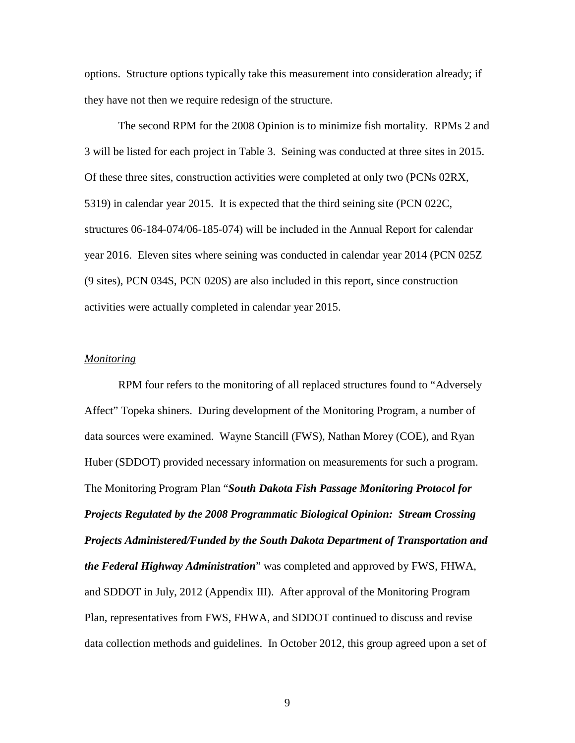options. Structure options typically take this measurement into consideration already; if they have not then we require redesign of the structure.

The second RPM for the 2008 Opinion is to minimize fish mortality. RPMs 2 and 3 will be listed for each project in Table 3. Seining was conducted at three sites in 2015. Of these three sites, construction activities were completed at only two (PCNs 02RX, 5319) in calendar year 2015. It is expected that the third seining site (PCN 022C, structures 06-184-074/06-185-074) will be included in the Annual Report for calendar year 2016. Eleven sites where seining was conducted in calendar year 2014 (PCN 025Z (9 sites), PCN 034S, PCN 020S) are also included in this report, since construction activities were actually completed in calendar year 2015.

#### *Monitoring*

RPM four refers to the monitoring of all replaced structures found to "Adversely Affect" Topeka shiners. During development of the Monitoring Program, a number of data sources were examined. Wayne Stancill (FWS), Nathan Morey (COE), and Ryan Huber (SDDOT) provided necessary information on measurements for such a program. The Monitoring Program Plan "*South Dakota Fish Passage Monitoring Protocol for Projects Regulated by the 2008 Programmatic Biological Opinion: Stream Crossing Projects Administered/Funded by the South Dakota Department of Transportation and the Federal Highway Administration*" was completed and approved by FWS, FHWA, and SDDOT in July, 2012 (Appendix III). After approval of the Monitoring Program Plan, representatives from FWS, FHWA, and SDDOT continued to discuss and revise data collection methods and guidelines. In October 2012, this group agreed upon a set of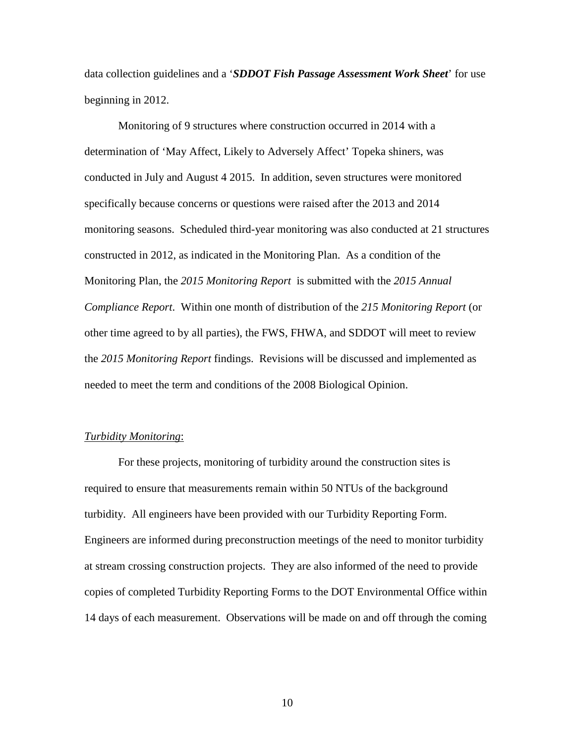data collection guidelines and a '*SDDOT Fish Passage Assessment Work Sheet*' for use beginning in 2012.

Monitoring of 9 structures where construction occurred in 2014 with a determination of 'May Affect, Likely to Adversely Affect' Topeka shiners, was conducted in July and August 4 2015. In addition, seven structures were monitored specifically because concerns or questions were raised after the 2013 and 2014 monitoring seasons. Scheduled third-year monitoring was also conducted at 21 structures constructed in 2012, as indicated in the Monitoring Plan. As a condition of the Monitoring Plan, the *2015 Monitoring Report* is submitted with the *2015 Annual Compliance Report*. Within one month of distribution of the *215 Monitoring Report* (or other time agreed to by all parties), the FWS, FHWA, and SDDOT will meet to review the *2015 Monitoring Report* findings. Revisions will be discussed and implemented as needed to meet the term and conditions of the 2008 Biological Opinion.

#### *Turbidity Monitoring*:

For these projects, monitoring of turbidity around the construction sites is required to ensure that measurements remain within 50 NTUs of the background turbidity. All engineers have been provided with our Turbidity Reporting Form. Engineers are informed during preconstruction meetings of the need to monitor turbidity at stream crossing construction projects. They are also informed of the need to provide copies of completed Turbidity Reporting Forms to the DOT Environmental Office within 14 days of each measurement. Observations will be made on and off through the coming

10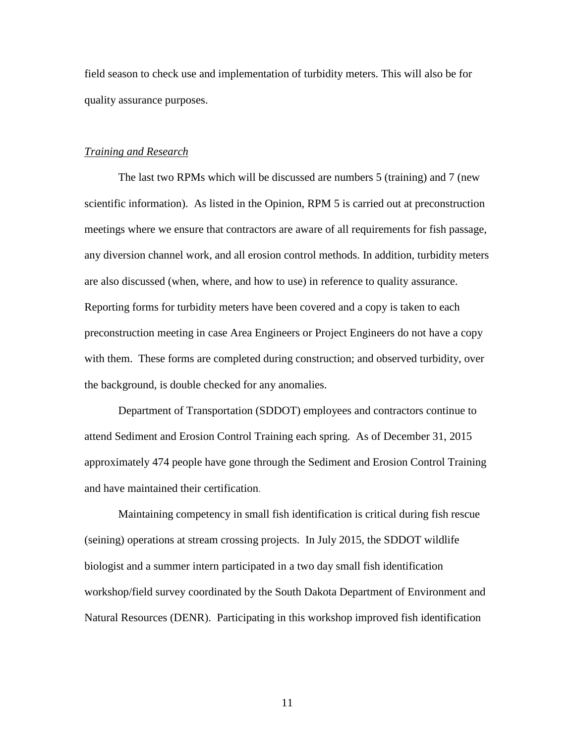field season to check use and implementation of turbidity meters. This will also be for quality assurance purposes.

#### *Training and Research*

The last two RPMs which will be discussed are numbers 5 (training) and 7 (new scientific information). As listed in the Opinion, RPM 5 is carried out at preconstruction meetings where we ensure that contractors are aware of all requirements for fish passage, any diversion channel work, and all erosion control methods. In addition, turbidity meters are also discussed (when, where, and how to use) in reference to quality assurance. Reporting forms for turbidity meters have been covered and a copy is taken to each preconstruction meeting in case Area Engineers or Project Engineers do not have a copy with them. These forms are completed during construction; and observed turbidity, over the background, is double checked for any anomalies.

Department of Transportation (SDDOT) employees and contractors continue to attend Sediment and Erosion Control Training each spring. As of December 31, 2015 approximately 474 people have gone through the Sediment and Erosion Control Training and have maintained their certification.

Maintaining competency in small fish identification is critical during fish rescue (seining) operations at stream crossing projects. In July 2015, the SDDOT wildlife biologist and a summer intern participated in a two day small fish identification workshop/field survey coordinated by the South Dakota Department of Environment and Natural Resources (DENR). Participating in this workshop improved fish identification

11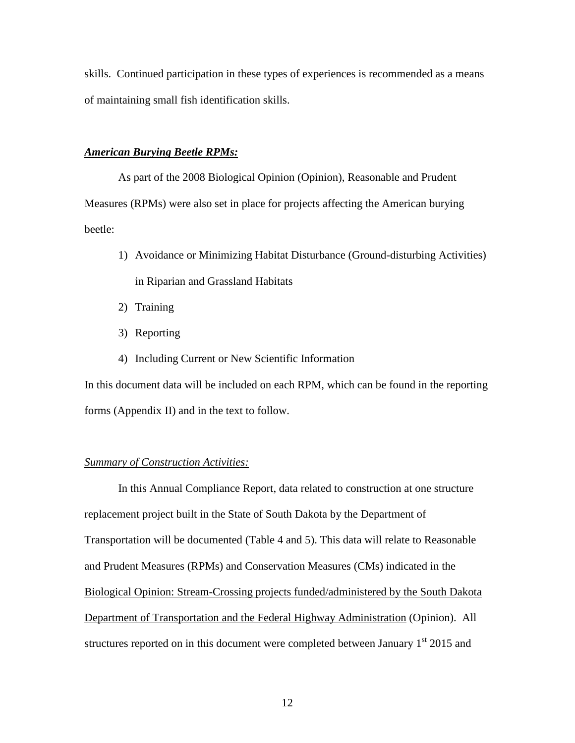skills. Continued participation in these types of experiences is recommended as a means of maintaining small fish identification skills.

#### *American Burying Beetle RPMs:*

As part of the 2008 Biological Opinion (Opinion), Reasonable and Prudent Measures (RPMs) were also set in place for projects affecting the American burying beetle:

- 1) Avoidance or Minimizing Habitat Disturbance (Ground-disturbing Activities) in Riparian and Grassland Habitats
- 2) Training
- 3) Reporting
- 4) Including Current or New Scientific Information

In this document data will be included on each RPM, which can be found in the reporting forms (Appendix II) and in the text to follow.

#### *Summary of Construction Activities:*

In this Annual Compliance Report, data related to construction at one structure replacement project built in the State of South Dakota by the Department of Transportation will be documented (Table 4 and 5). This data will relate to Reasonable and Prudent Measures (RPMs) and Conservation Measures (CMs) indicated in the Biological Opinion: Stream-Crossing projects funded/administered by the South Dakota Department of Transportation and the Federal Highway Administration (Opinion). All structures reported on in this document were completed between January  $1<sup>st</sup>$  2015 and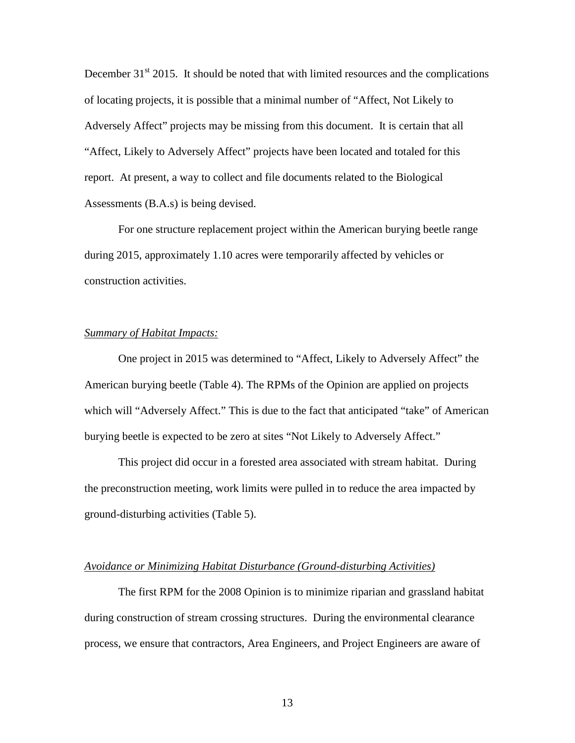December  $31<sup>st</sup>$  2015. It should be noted that with limited resources and the complications of locating projects, it is possible that a minimal number of "Affect, Not Likely to Adversely Affect" projects may be missing from this document. It is certain that all "Affect, Likely to Adversely Affect" projects have been located and totaled for this report. At present, a way to collect and file documents related to the Biological Assessments (B.A.s) is being devised.

For one structure replacement project within the American burying beetle range during 2015, approximately 1.10 acres were temporarily affected by vehicles or construction activities.

#### *Summary of Habitat Impacts:*

One project in 2015 was determined to "Affect, Likely to Adversely Affect" the American burying beetle (Table 4). The RPMs of the Opinion are applied on projects which will "Adversely Affect." This is due to the fact that anticipated "take" of American burying beetle is expected to be zero at sites "Not Likely to Adversely Affect."

This project did occur in a forested area associated with stream habitat. During the preconstruction meeting, work limits were pulled in to reduce the area impacted by ground-disturbing activities (Table 5).

#### *Avoidance or Minimizing Habitat Disturbance (Ground-disturbing Activities)*

The first RPM for the 2008 Opinion is to minimize riparian and grassland habitat during construction of stream crossing structures. During the environmental clearance process, we ensure that contractors, Area Engineers, and Project Engineers are aware of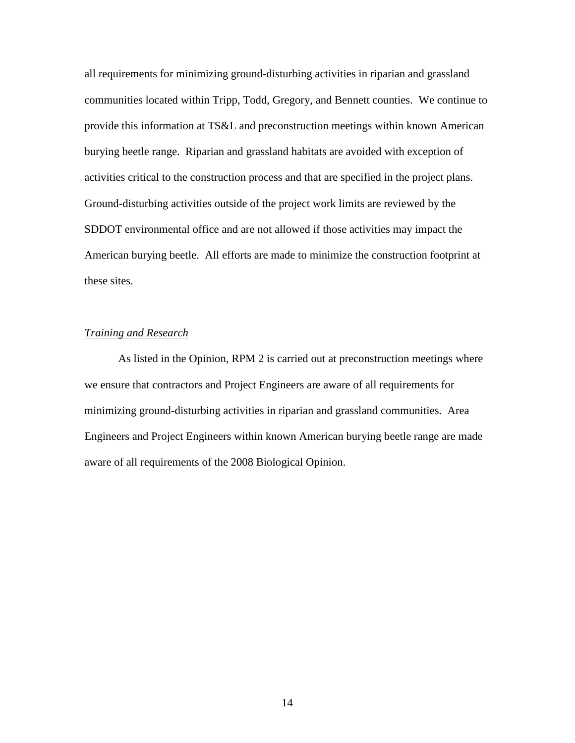all requirements for minimizing ground-disturbing activities in riparian and grassland communities located within Tripp, Todd, Gregory, and Bennett counties. We continue to provide this information at TS&L and preconstruction meetings within known American burying beetle range. Riparian and grassland habitats are avoided with exception of activities critical to the construction process and that are specified in the project plans. Ground-disturbing activities outside of the project work limits are reviewed by the SDDOT environmental office and are not allowed if those activities may impact the American burying beetle. All efforts are made to minimize the construction footprint at these sites.

#### *Training and Research*

As listed in the Opinion, RPM 2 is carried out at preconstruction meetings where we ensure that contractors and Project Engineers are aware of all requirements for minimizing ground-disturbing activities in riparian and grassland communities. Area Engineers and Project Engineers within known American burying beetle range are made aware of all requirements of the 2008 Biological Opinion.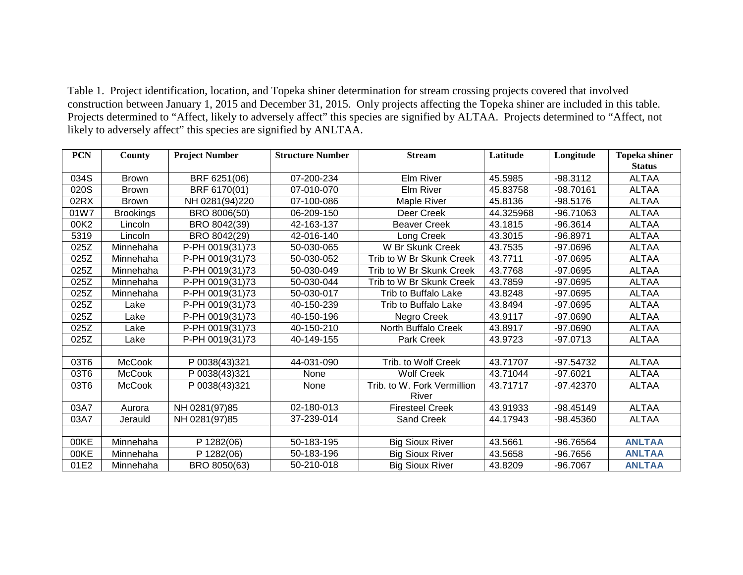Table 1. Project identification, location, and Topeka shiner determination for stream crossing projects covered that involved construction between January 1, 2015 and December 31, 2015. Only projects affecting the Topeka shiner are included in this table. Projects determined to "Affect, likely to adversely affect" this species are signified by ALTAA. Projects determined to "Affect, not likely to adversely affect" this species are signified by ANLTAA.

| <b>PCN</b> | County           | <b>Project Number</b> | <b>Structure Number</b> | <b>Stream</b>               | Latitude  | Longitude   | <b>Topeka shiner</b> |
|------------|------------------|-----------------------|-------------------------|-----------------------------|-----------|-------------|----------------------|
|            |                  |                       |                         |                             |           |             | <b>Status</b>        |
| 034S       | <b>Brown</b>     | BRF 6251(06)          | 07-200-234              | Elm River                   | 45.5985   | $-98.3112$  | <b>ALTAA</b>         |
| 020S       | <b>Brown</b>     | BRF 6170(01)          | 07-010-070              | Elm River                   | 45.83758  | $-98.70161$ | <b>ALTAA</b>         |
| 02RX       | <b>Brown</b>     | NH 0281(94)220        | 07-100-086              | Maple River                 | 45.8136   | $-98.5176$  | <b>ALTAA</b>         |
| 01W7       | <b>Brookings</b> | BRO 8006(50)          | 06-209-150              | Deer Creek                  | 44.325968 | -96.71063   | <b>ALTAA</b>         |
| 00K2       | Lincoln          | BRO 8042(39)          | 42-163-137              | <b>Beaver Creek</b>         | 43.1815   | $-96.3614$  | <b>ALTAA</b>         |
| 5319       | Lincoln          | BRO 8042(29)          | 42-016-140              | Long Creek                  | 43.3015   | $-96.8971$  | <b>ALTAA</b>         |
| 025Z       | Minnehaha        | P-PH 0019(31)73       | 50-030-065              | W Br Skunk Creek            | 43.7535   | $-97.0696$  | <b>ALTAA</b>         |
| 025Z       | Minnehaha        | P-PH 0019(31)73       | 50-030-052              | Trib to W Br Skunk Creek    | 43.7711   | $-97.0695$  | <b>ALTAA</b>         |
| 025Z       | Minnehaha        | P-PH 0019(31)73       | 50-030-049              | Trib to W Br Skunk Creek    | 43.7768   | $-97.0695$  | <b>ALTAA</b>         |
| 025Z       | Minnehaha        | P-PH 0019(31)73       | 50-030-044              | Trib to W Br Skunk Creek    | 43.7859   | $-97.0695$  | <b>ALTAA</b>         |
| 025Z       | Minnehaha        | P-PH 0019(31)73       | 50-030-017              | Trib to Buffalo Lake        | 43.8248   | $-97.0695$  | <b>ALTAA</b>         |
| 025Z       | Lake             | P-PH 0019(31)73       | 40-150-239              | Trib to Buffalo Lake        | 43.8494   | $-97.0695$  | <b>ALTAA</b>         |
| 025Z       | Lake             | P-PH 0019(31)73       | 40-150-196              | Negro Creek                 | 43.9117   | $-97.0690$  | <b>ALTAA</b>         |
| 025Z       | Lake             | P-PH 0019(31)73       | 40-150-210              | North Buffalo Creek         | 43.8917   | $-97.0690$  | <b>ALTAA</b>         |
| 025Z       | Lake             | P-PH 0019(31)73       | 40-149-155              | Park Creek                  | 43.9723   | $-97.0713$  | <b>ALTAA</b>         |
|            |                  |                       |                         |                             |           |             |                      |
| 03T6       | <b>McCook</b>    | P 0038(43)321         | 44-031-090              | Trib. to Wolf Creek         | 43.71707  | $-97.54732$ | <b>ALTAA</b>         |
| 03T6       | <b>McCook</b>    | P 0038(43)321         | None                    | <b>Wolf Creek</b>           | 43.71044  | $-97.6021$  | <b>ALTAA</b>         |
| 03T6       | <b>McCook</b>    | P 0038(43)321         | None                    | Trib. to W. Fork Vermillion | 43.71717  | $-97.42370$ | <b>ALTAA</b>         |
|            |                  |                       |                         | River                       |           |             |                      |
| 03A7       | Aurora           | NH 0281(97)85         | 02-180-013              | <b>Firesteel Creek</b>      | 43.91933  | -98.45149   | <b>ALTAA</b>         |
| 03A7       | Jerauld          | NH 0281(97)85         | 37-239-014              | Sand Creek                  | 44.17943  | -98.45360   | <b>ALTAA</b>         |
|            |                  |                       |                         |                             |           |             |                      |
| 00KE       | Minnehaha        | P 1282(06)            | 50-183-195              | <b>Big Sioux River</b>      | 43.5661   | -96.76564   | <b>ANLTAA</b>        |
| 00KE       | Minnehaha        | P 1282(06)            | 50-183-196              | <b>Big Sioux River</b>      | 43.5658   | -96.7656    | <b>ANLTAA</b>        |
| 01E2       | Minnehaha        | BRO 8050(63)          | 50-210-018              | <b>Big Sioux River</b>      | 43.8209   | $-96.7067$  | <b>ANLTAA</b>        |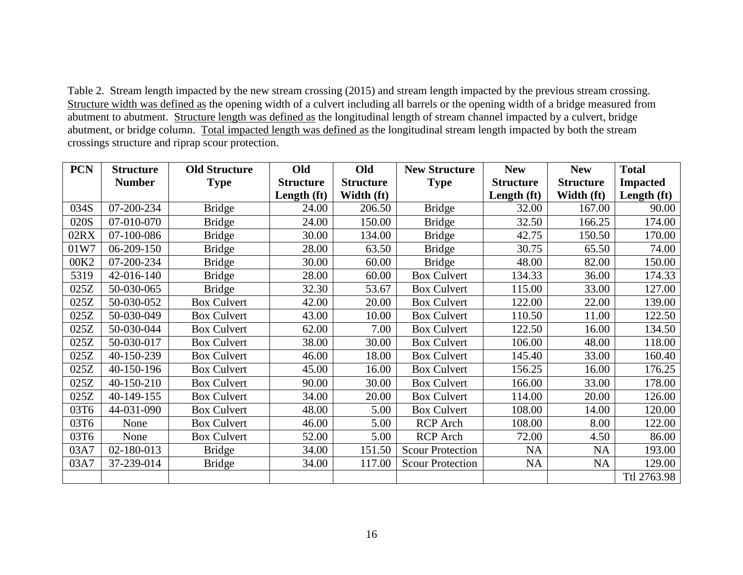Table 2. Stream length impacted by the new stream crossing (2015) and stream length impacted by the previous stream crossing. Structure width was defined as the opening width of a culvert including all barrels or the opening width of a bridge measured from abutment to abutment. Structure length was defined as the longitudinal length of stream channel impacted by a culvert, bridge abutment, or bridge column. Total impacted length was defined as the longitudinal stream length impacted by both the stream crossings structure and riprap scour protection.

| <b>PCN</b> | <b>Structure</b> | <b>Old Structure</b> | Old              | Old              | <b>New Structure</b>    | <b>New</b>       | <b>New</b>       | <b>Total</b>    |
|------------|------------------|----------------------|------------------|------------------|-------------------------|------------------|------------------|-----------------|
|            | <b>Number</b>    | <b>Type</b>          | <b>Structure</b> | <b>Structure</b> | <b>Type</b>             | <b>Structure</b> | <b>Structure</b> | <b>Impacted</b> |
|            |                  |                      | Length (ft)      | Width (ft)       |                         | Length $(ft)$    | Width (ft)       | Length (ft)     |
| 034S       | 07-200-234       | <b>Bridge</b>        | 24.00            | 206.50           | <b>Bridge</b>           | 32.00            | 167.00           | 90.00           |
| 020S       | 07-010-070       | <b>Bridge</b>        | 24.00            | 150.00           | <b>Bridge</b>           | 32.50            | 166.25           | 174.00          |
| 02RX       | 07-100-086       | <b>Bridge</b>        | 30.00            | 134.00           | <b>Bridge</b>           | 42.75            | 150.50           | 170.00          |
| 01W7       | 06-209-150       | <b>Bridge</b>        | 28.00            | 63.50            | <b>Bridge</b>           | 30.75            | 65.50            | 74.00           |
| 00K2       | 07-200-234       | <b>Bridge</b>        | 30.00            | 60.00            | <b>Bridge</b>           | 48.00            | 82.00            | 150.00          |
| 5319       | 42-016-140       | <b>Bridge</b>        | 28.00            | 60.00            | <b>Box Culvert</b>      | 134.33           | 36.00            | 174.33          |
| 025Z       | 50-030-065       | <b>Bridge</b>        | 32.30            | 53.67            | <b>Box Culvert</b>      | 115.00           | 33.00            | 127.00          |
| 025Z       | 50-030-052       | <b>Box Culvert</b>   | 42.00            | 20.00            | <b>Box Culvert</b>      | 122.00           | 22.00            | 139.00          |
| 025Z       | 50-030-049       | <b>Box Culvert</b>   | 43.00            | 10.00            | <b>Box Culvert</b>      | 110.50           | 11.00            | 122.50          |
| 025Z       | 50-030-044       | <b>Box Culvert</b>   | 62.00            | 7.00             | <b>Box Culvert</b>      | 122.50           | 16.00            | 134.50          |
| 025Z       | 50-030-017       | <b>Box Culvert</b>   | 38.00            | 30.00            | <b>Box Culvert</b>      | 106.00           | 48.00            | 118.00          |
| 025Z       | 40-150-239       | <b>Box Culvert</b>   | 46.00            | 18.00            | <b>Box Culvert</b>      | 145.40           | 33.00            | 160.40          |
| 025Z       | 40-150-196       | <b>Box Culvert</b>   | 45.00            | 16.00            | <b>Box Culvert</b>      | 156.25           | 16.00            | 176.25          |
| 025Z       | 40-150-210       | <b>Box Culvert</b>   | 90.00            | 30.00            | <b>Box Culvert</b>      | 166.00           | 33.00            | 178.00          |
| 025Z       | 40-149-155       | <b>Box Culvert</b>   | 34.00            | 20.00            | <b>Box Culvert</b>      | 114.00           | 20.00            | 126.00          |
| 03T6       | 44-031-090       | <b>Box Culvert</b>   | 48.00            | 5.00             | <b>Box Culvert</b>      | 108.00           | 14.00            | 120.00          |
| 03T6       | None             | <b>Box Culvert</b>   | 46.00            | 5.00             | RCP Arch                | 108.00           | 8.00             | 122.00          |
| 03T6       | None             | <b>Box Culvert</b>   | 52.00            | 5.00             | <b>RCP</b> Arch         | 72.00            | 4.50             | 86.00           |
| 03A7       | 02-180-013       | <b>Bridge</b>        | 34.00            | 151.50           | <b>Scour Protection</b> | <b>NA</b>        | <b>NA</b>        | 193.00          |
| 03A7       | 37-239-014       | <b>Bridge</b>        | 34.00            | 117.00           | <b>Scour Protection</b> | NA               | NA               | 129.00          |
|            |                  |                      |                  |                  |                         |                  |                  | Ttl 2763.98     |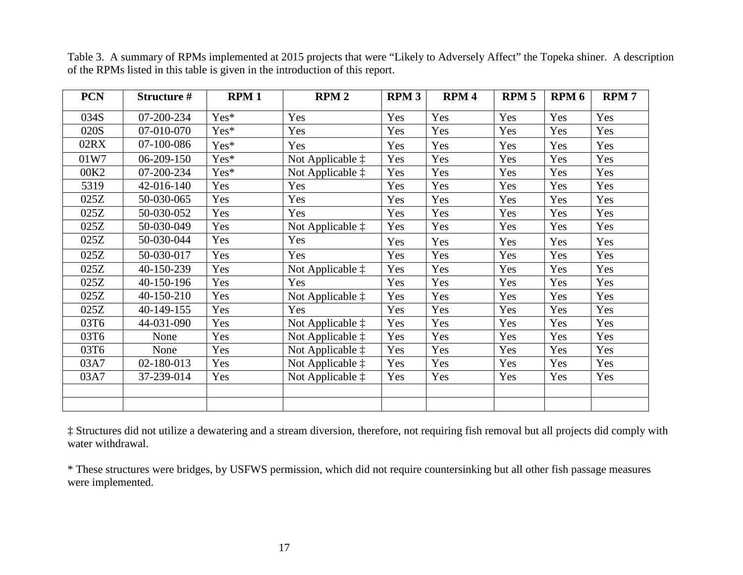| <b>PCN</b>       | Structure # | <b>RPM1</b> | RPM <sub>2</sub>          | <b>RPM3</b> | RPM <sub>4</sub> | RPM <sub>5</sub> | RPM <sub>6</sub> | <b>RPM7</b> |
|------------------|-------------|-------------|---------------------------|-------------|------------------|------------------|------------------|-------------|
| 034S             | 07-200-234  | Yes*        | Yes                       | Yes         | Yes              | Yes              | Yes              | Yes         |
| 020S             | 07-010-070  | Yes*        | Yes                       | Yes         | Yes              | Yes              | Yes              | Yes         |
| 02RX             | 07-100-086  | Yes*        | Yes                       | Yes         | Yes              | Yes              | Yes              | Yes         |
| 01W7             | 06-209-150  | Yes*        | Not Applicable $\ddagger$ | Yes         | Yes              | Yes              | Yes              | Yes         |
| 00K <sub>2</sub> | 07-200-234  | Yes*        | Not Applicable $\ddagger$ | Yes         | Yes              | Yes              | Yes              | Yes         |
| 5319             | 42-016-140  | Yes         | Yes                       | Yes         | Yes              | Yes              | Yes              | Yes         |
| 025Z             | 50-030-065  | Yes         | Yes                       | Yes         | Yes              | Yes              | Yes              | Yes         |
| 025Z             | 50-030-052  | Yes         | Yes                       | Yes         | Yes              | Yes              | Yes              | Yes         |
| 025Z             | 50-030-049  | Yes         | Not Applicable $\ddagger$ | Yes         | Yes              | Yes              | Yes              | Yes         |
| 025Z             | 50-030-044  | Yes         | Yes                       | Yes         | Yes              | Yes              | Yes              | Yes         |
| 025Z             | 50-030-017  | Yes         | Yes                       | Yes         | Yes              | Yes              | Yes              | Yes         |
| 025Z             | 40-150-239  | Yes         | Not Applicable $\ddagger$ | Yes         | Yes              | Yes              | Yes              | Yes         |
| 025Z             | 40-150-196  | Yes         | Yes                       | Yes         | Yes              | Yes              | Yes              | Yes         |
| 025Z             | 40-150-210  | Yes         | Not Applicable $\ddagger$ | Yes         | Yes              | Yes              | Yes              | Yes         |
| 025Z             | 40-149-155  | Yes         | Yes                       | Yes         | Yes              | Yes              | Yes              | Yes         |
| 03T6             | 44-031-090  | Yes         | Not Applicable $\ddagger$ | Yes         | Yes              | Yes              | Yes              | Yes         |
| 03T6             | None        | Yes         | Not Applicable $\ddagger$ | Yes         | Yes              | Yes              | Yes              | Yes         |
| 03T6             | None        | Yes         | Not Applicable $\ddagger$ | Yes         | Yes              | Yes              | Yes              | Yes         |
| 03A7             | 02-180-013  | Yes         | Not Applicable $\ddagger$ | Yes         | Yes              | Yes              | Yes              | Yes         |
| 03A7             | 37-239-014  | Yes         | Not Applicable $\ddagger$ | Yes         | Yes              | Yes              | Yes              | Yes         |
|                  |             |             |                           |             |                  |                  |                  |             |
|                  |             |             |                           |             |                  |                  |                  |             |

Table 3. A summary of RPMs implemented at 2015 projects that were "Likely to Adversely Affect" the Topeka shiner. A description of the RPMs listed in this table is given in the introduction of this report.

‡ Structures did not utilize a dewatering and a stream diversion, therefore, not requiring fish removal but all projects did comply with water withdrawal.

\* These structures were bridges, by USFWS permission, which did not require countersinking but all other fish passage measures were implemented.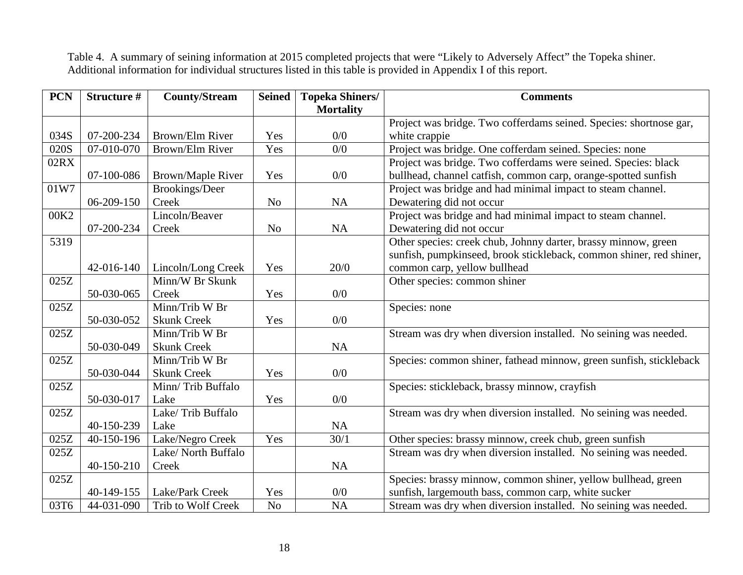Table 4. A summary of seining information at 2015 completed projects that were "Likely to Adversely Affect" the Topeka shiner. Additional information for individual structures listed in this table is provided in Appendix I of this report.

| <b>PCN</b> | Structure # | <b>County/Stream</b>     | <b>Seined</b>  | <b>Topeka Shiners/</b> | <b>Comments</b>                                                     |
|------------|-------------|--------------------------|----------------|------------------------|---------------------------------------------------------------------|
|            |             |                          |                | <b>Mortality</b>       |                                                                     |
|            |             |                          |                |                        | Project was bridge. Two cofferdams seined. Species: shortnose gar,  |
| 034S       | 07-200-234  | Brown/Elm River          | Yes            | 0/0                    | white crappie                                                       |
| 020S       | 07-010-070  | Brown/Elm River          | Yes            | 0/0                    | Project was bridge. One cofferdam seined. Species: none             |
| 02RX       |             |                          |                |                        | Project was bridge. Two cofferdams were seined. Species: black      |
|            | 07-100-086  | <b>Brown/Maple River</b> | Yes            | 0/0                    | bullhead, channel catfish, common carp, orange-spotted sunfish      |
| 01W7       |             | <b>Brookings/Deer</b>    |                |                        | Project was bridge and had minimal impact to steam channel.         |
|            | 06-209-150  | Creek                    | N <sub>o</sub> | NA                     | Dewatering did not occur                                            |
| 00K2       |             | Lincoln/Beaver           |                |                        | Project was bridge and had minimal impact to steam channel.         |
|            | 07-200-234  | Creek                    | N <sub>o</sub> | <b>NA</b>              | Dewatering did not occur                                            |
| 5319       |             |                          |                |                        | Other species: creek chub, Johnny darter, brassy minnow, green      |
|            |             |                          |                |                        | sunfish, pumpkinseed, brook stickleback, common shiner, red shiner, |
|            | 42-016-140  | Lincoln/Long Creek       | Yes            | 20/0                   | common carp, yellow bullhead                                        |
| 025Z       |             | Minn/W Br Skunk          |                |                        | Other species: common shiner                                        |
|            | 50-030-065  | Creek                    | Yes            | 0/0                    |                                                                     |
| 025Z       |             | Minn/Trib W Br           |                |                        | Species: none                                                       |
|            | 50-030-052  | <b>Skunk Creek</b>       | Yes            | 0/0                    |                                                                     |
| 025Z       |             | Minn/Trib W Br           |                |                        | Stream was dry when diversion installed. No seining was needed.     |
|            | 50-030-049  | <b>Skunk Creek</b>       |                | NA                     |                                                                     |
| 025Z       |             | Minn/Trib W Br           |                |                        | Species: common shiner, fathead minnow, green sunfish, stickleback  |
|            | 50-030-044  | <b>Skunk Creek</b>       | Yes            | 0/0                    |                                                                     |
| 025Z       |             | Minn/Trib Buffalo        |                |                        | Species: stickleback, brassy minnow, crayfish                       |
|            | 50-030-017  | Lake                     | Yes            | 0/0                    |                                                                     |
| 025Z       |             | Lake/Trib Buffalo        |                |                        | Stream was dry when diversion installed. No seining was needed.     |
|            | 40-150-239  | Lake                     |                | <b>NA</b>              |                                                                     |
| 025Z       | 40-150-196  | Lake/Negro Creek         | Yes            | 30/1                   | Other species: brassy minnow, creek chub, green sunfish             |
| 025Z       |             | Lake/ North Buffalo      |                |                        | Stream was dry when diversion installed. No seining was needed.     |
|            | 40-150-210  | Creek                    |                | NA                     |                                                                     |
| 025Z       |             |                          |                |                        | Species: brassy minnow, common shiner, yellow bullhead, green       |
|            | 40-149-155  | Lake/Park Creek          | Yes            | 0/0                    | sunfish, largemouth bass, common carp, white sucker                 |
| 03T6       | 44-031-090  | Trib to Wolf Creek       | N <sub>o</sub> | <b>NA</b>              | Stream was dry when diversion installed. No seining was needed.     |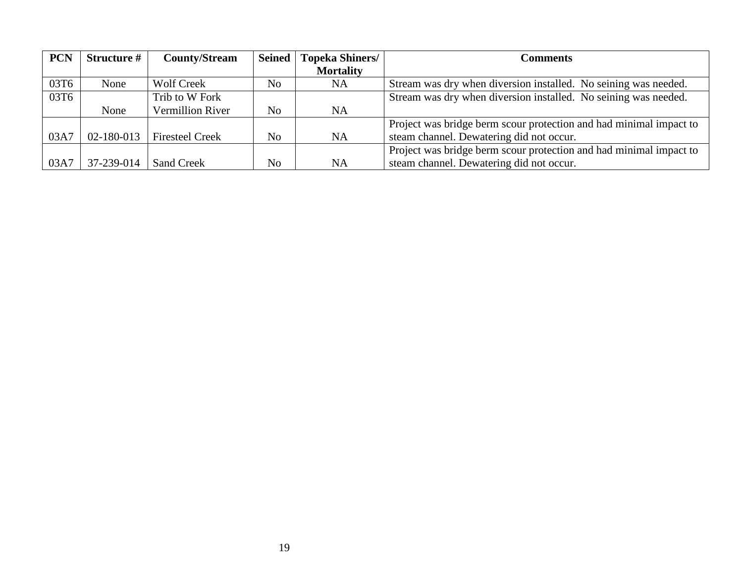| <b>PCN</b> | <b>Structure #</b> | <b>County/Stream</b>    | <b>Seined</b> | <b>Topeka Shiners/</b> | Comments                                                           |
|------------|--------------------|-------------------------|---------------|------------------------|--------------------------------------------------------------------|
|            |                    |                         |               | <b>Mortality</b>       |                                                                    |
| 03T6       | None               | <b>Wolf Creek</b>       | No            | NA.                    | Stream was dry when diversion installed. No seining was needed.    |
| 03T6       |                    | Trib to W Fork          |               |                        | Stream was dry when diversion installed. No seining was needed.    |
|            | None               | <b>Vermillion River</b> | No            | <b>NA</b>              |                                                                    |
|            |                    |                         |               |                        | Project was bridge berm scour protection and had minimal impact to |
| 03A7       | 02-180-013         | <b>Firesteel Creek</b>  | No            | <b>NA</b>              | steam channel. Dewatering did not occur.                           |
|            |                    |                         |               |                        | Project was bridge berm scour protection and had minimal impact to |
| 03A7       | 37-239-014         | <b>Sand Creek</b>       | No            | <b>NA</b>              | steam channel. Dewatering did not occur.                           |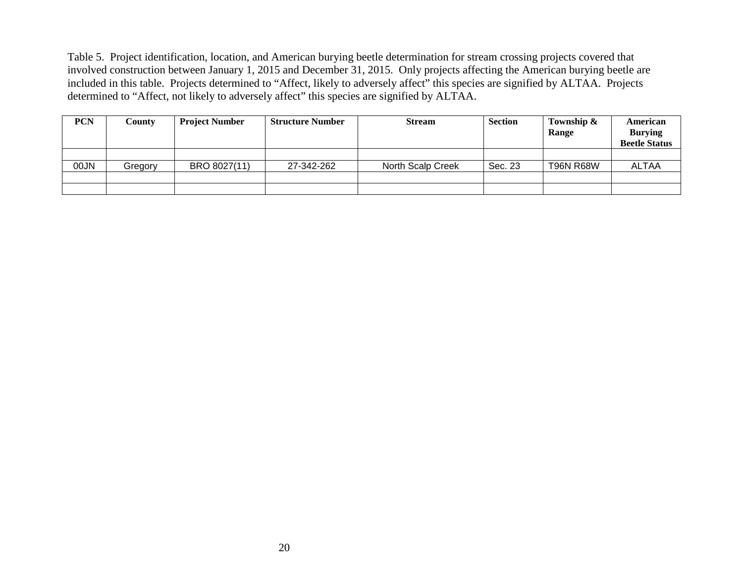Table 5. Project identification, location, and American burying beetle determination for stream crossing projects covered that involved construction between January 1, 2015 and December 31, 2015. Only projects affecting the American burying beetle are included in this table. Projects determined to "Affect, likely to adversely affect" this species are signified by ALTAA. Projects determined to "Affect, not likely to adversely affect" this species are signified by ALTAA.

| <b>PCN</b> | County  | <b>Project Number</b> | <b>Structure Number</b> | <b>Stream</b>     | <b>Section</b> | Township &<br>Range | American<br><b>Burying</b><br><b>Beetle Status</b> |
|------------|---------|-----------------------|-------------------------|-------------------|----------------|---------------------|----------------------------------------------------|
|            |         |                       |                         |                   |                |                     |                                                    |
| 00JN       | Gregory | BRO 8027(11)          | 27-342-262              | North Scalp Creek | Sec. 23        | <b>T96N R68W</b>    | <b>ALTAA</b>                                       |
|            |         |                       |                         |                   |                |                     |                                                    |
|            |         |                       |                         |                   |                |                     |                                                    |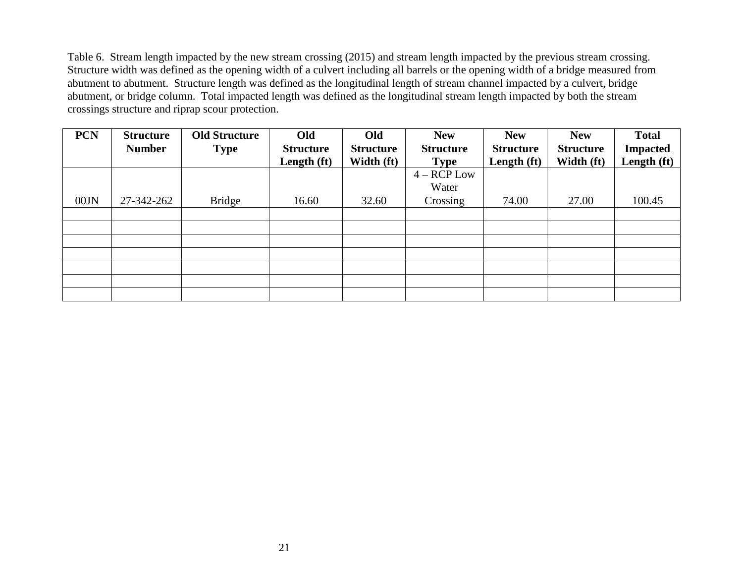Table 6. Stream length impacted by the new stream crossing (2015) and stream length impacted by the previous stream crossing. Structure width was defined as the opening width of a culvert including all barrels or the opening width of a bridge measured from abutment to abutment. Structure length was defined as the longitudinal length of stream channel impacted by a culvert, bridge abutment, or bridge column. Total impacted length was defined as the longitudinal stream length impacted by both the stream crossings structure and riprap scour protection.

| <b>PCN</b> | <b>Structure</b><br><b>Number</b> | <b>Old Structure</b><br><b>Type</b> | Old<br><b>Structure</b> | Old<br><b>Structure</b> | <b>New</b><br><b>Structure</b> | <b>New</b><br><b>Structure</b> | <b>New</b><br><b>Structure</b> | <b>Total</b><br><b>Impacted</b> |
|------------|-----------------------------------|-------------------------------------|-------------------------|-------------------------|--------------------------------|--------------------------------|--------------------------------|---------------------------------|
|            |                                   |                                     | Length (ft)             | Width (ft)              | <b>Type</b>                    | Length (ft)                    | Width (ft)                     | Length (ft)                     |
|            |                                   |                                     |                         |                         | $4 - RCP$ Low                  |                                |                                |                                 |
|            |                                   |                                     |                         |                         | Water                          |                                |                                |                                 |
| 00JN       | 27-342-262                        | <b>Bridge</b>                       | 16.60                   | 32.60                   | Crossing                       | 74.00                          | 27.00                          | 100.45                          |
|            |                                   |                                     |                         |                         |                                |                                |                                |                                 |
|            |                                   |                                     |                         |                         |                                |                                |                                |                                 |
|            |                                   |                                     |                         |                         |                                |                                |                                |                                 |
|            |                                   |                                     |                         |                         |                                |                                |                                |                                 |
|            |                                   |                                     |                         |                         |                                |                                |                                |                                 |
|            |                                   |                                     |                         |                         |                                |                                |                                |                                 |
|            |                                   |                                     |                         |                         |                                |                                |                                |                                 |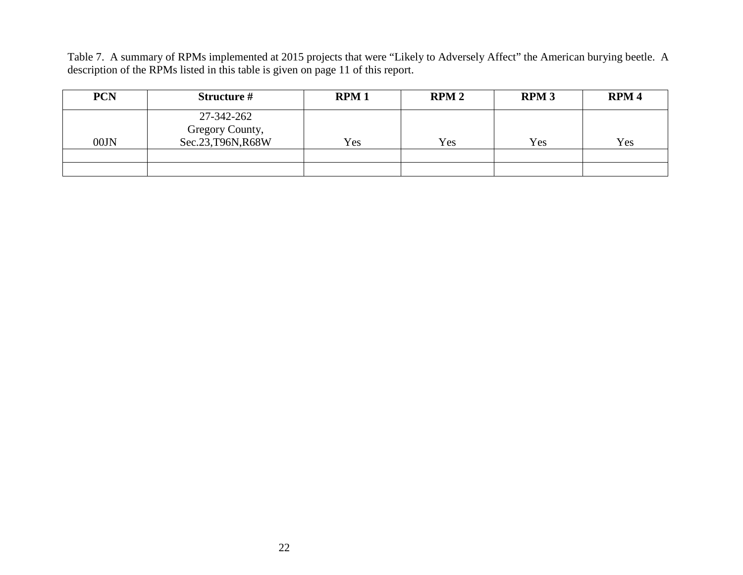Table 7. A summary of RPMs implemented at 2015 projects that were "Likely to Adversely Affect" the American burying beetle. A description of the RPMs listed in this table is given on page 11 of this report.

| <b>PCN</b> | Structure #                                         | <b>RPM1</b> | RPM2 | <b>RPM3</b> | RPM <sub>4</sub> |
|------------|-----------------------------------------------------|-------------|------|-------------|------------------|
| 00JN       | 27-342-262<br>Gregory County,<br>Sec.23, T96N, R68W | Yes         | Yes  | Yes         | Yes              |
|            |                                                     |             |      |             |                  |
|            |                                                     |             |      |             |                  |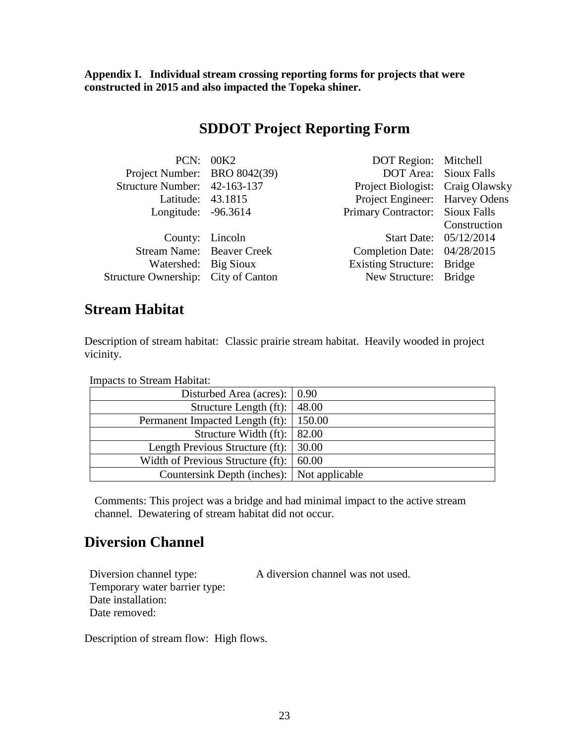**Appendix I. Individual stream crossing reporting forms for projects that were constructed in 2015 and also impacted the Topeka shiner.**

### **SDDOT Project Reporting Form**

|                                     | PCN: 00K2 | DOT Region: Mitchell             |                              |
|-------------------------------------|-----------|----------------------------------|------------------------------|
| Project Number: BRO 8042(39)        |           |                                  | <b>DOT Area:</b> Sioux Falls |
| Structure Number: 42-163-137        |           | Project Biologist: Craig Olawsky |                              |
| Latitude: 43.1815                   |           | Project Engineer: Harvey Odens   |                              |
| Longitude: -96.3614                 |           | Primary Contractor: Sioux Falls  |                              |
|                                     |           |                                  | Construction                 |
| County: Lincoln                     |           |                                  | Start Date: 05/12/2014       |
| Stream Name: Beaver Creek           |           | Completion Date: 04/28/2015      |                              |
| Watershed: Big Sioux                |           | Existing Structure: Bridge       |                              |
| Structure Ownership: City of Canton |           | New Structure: Bridge            |                              |
|                                     |           |                                  |                              |

#### **Stream Habitat**

Description of stream habitat: Classic prairie stream habitat. Heavily wooded in project vicinity.

Impacts to Stream Habitat:

| Disturbed Area (acres): $\vert 0.90 \rangle$    |  |
|-------------------------------------------------|--|
| Structure Length (ft): $ 48.00$                 |  |
| Permanent Impacted Length (ft):   150.00        |  |
| Structure Width (ft): $\vert$ 82.00             |  |
| Length Previous Structure (ft): 30.00           |  |
| Width of Previous Structure (ft): $\vert$ 60.00 |  |
| Countersink Depth (inches): Not applicable      |  |

Comments: This project was a bridge and had minimal impact to the active stream channel. Dewatering of stream habitat did not occur.

### **Diversion Channel**

Temporary water barrier type: Date installation: Date removed:

Diversion channel type: A diversion channel was not used.

Description of stream flow: High flows.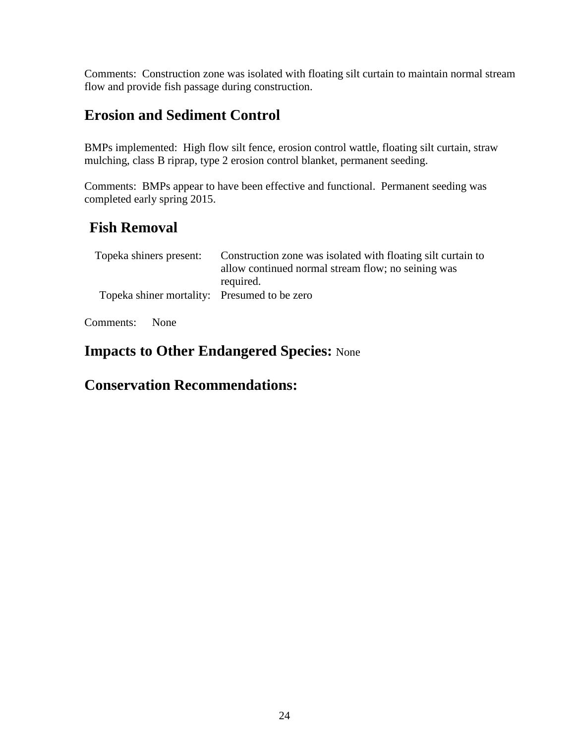Comments: Construction zone was isolated with floating silt curtain to maintain normal stream flow and provide fish passage during construction.

## **Erosion and Sediment Control**

BMPs implemented: High flow silt fence, erosion control wattle, floating silt curtain, straw mulching, class B riprap, type 2 erosion control blanket, permanent seeding.

Comments: BMPs appear to have been effective and functional. Permanent seeding was completed early spring 2015.

# **Fish Removal**

| Topeka shiners present:                      | Construction zone was isolated with floating silt curtain to<br>allow continued normal stream flow; no seining was |
|----------------------------------------------|--------------------------------------------------------------------------------------------------------------------|
| Topeka shiner mortality: Presumed to be zero | required.                                                                                                          |

Comments: None

### **Impacts to Other Endangered Species:** None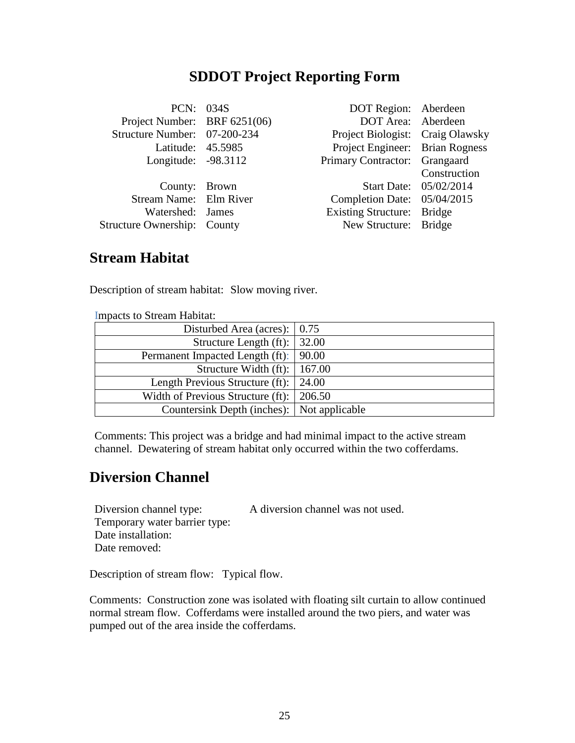### **SDDOT Project Reporting Form**

| PCN: 034S                          | DOT Region: Aberdeen             |                        |
|------------------------------------|----------------------------------|------------------------|
| Project Number: BRF 6251(06)       | DOT Area: Aberdeen               |                        |
| Structure Number: 07-200-234       | Project Biologist: Craig Olawsky |                        |
| Latitude: 45.5985                  | Project Engineer: Brian Rogness  |                        |
| Longitude: -98.3112                | Primary Contractor: Grangaard    |                        |
|                                    |                                  | Construction           |
| County: Brown                      |                                  | Start Date: 05/02/2014 |
| Stream Name: Elm River             | Completion Date: 05/04/2015      |                        |
| Watershed: James                   | Existing Structure: Bridge       |                        |
| <b>Structure Ownership: County</b> | New Structure: Bridge            |                        |
|                                    |                                  |                        |

#### **Stream Habitat**

Description of stream habitat: Slow moving river.

| <u>Impacts</u> to Bucam Habitat.                 |  |
|--------------------------------------------------|--|
| Disturbed Area (acres): $\vert 0.75 \rangle$     |  |
| Structure Length (ft): $\vert$ 32.00             |  |
| Permanent Impacted Length (ft):   90.00          |  |
| Structure Width (ft): $\vert$ 167.00             |  |
| Length Previous Structure (ft): 24.00            |  |
| Width of Previous Structure (ft): $\vert$ 206.50 |  |
| Countersink Depth (inches): Not applicable       |  |

Impacts to Stream Habitat:

Comments: This project was a bridge and had minimal impact to the active stream channel. Dewatering of stream habitat only occurred within the two cofferdams.

### **Diversion Channel**

Diversion channel type: A diversion channel was not used.

Temporary water barrier type: Date installation: Date removed:

Description of stream flow: Typical flow.

Comments: Construction zone was isolated with floating silt curtain to allow continued normal stream flow. Cofferdams were installed around the two piers, and water was pumped out of the area inside the cofferdams.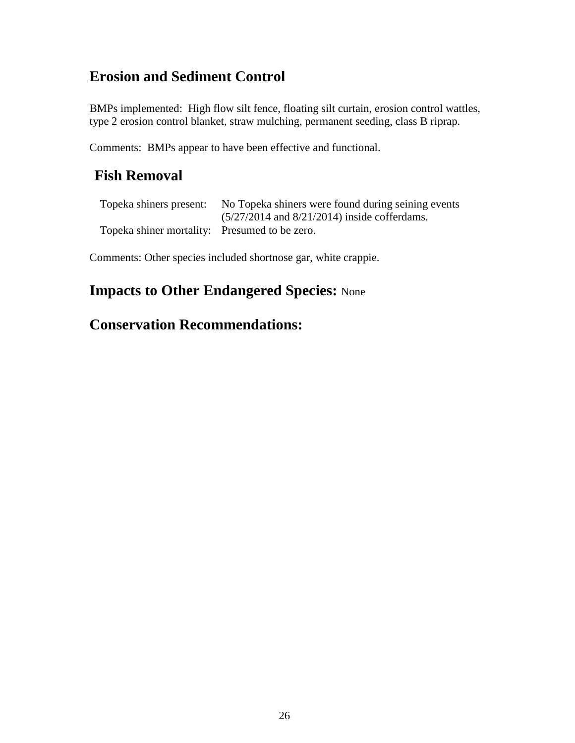# **Erosion and Sediment Control**

BMPs implemented: High flow silt fence, floating silt curtain, erosion control wattles, type 2 erosion control blanket, straw mulching, permanent seeding, class B riprap.

Comments: BMPs appear to have been effective and functional.

# **Fish Removal**

|                                               | Topeka shiners present: No Topeka shiners were found during seining events |
|-----------------------------------------------|----------------------------------------------------------------------------|
|                                               | $(5/27/2014$ and $8/21/2014)$ inside cofferdams.                           |
| Topeka shiner mortality: Presumed to be zero. |                                                                            |

Comments: Other species included shortnose gar, white crappie.

## **Impacts to Other Endangered Species:** None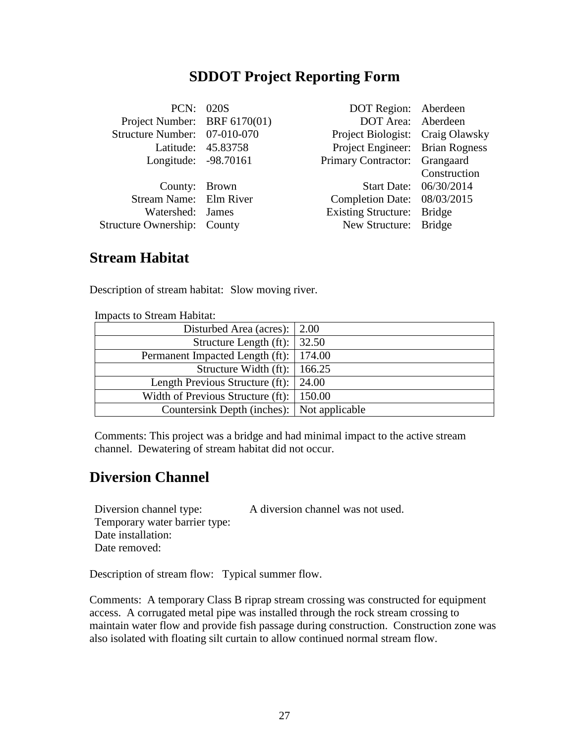### **SDDOT Project Reporting Form**

| PCN: 020S                          |                    | DOT Region: Aberdeen             |                        |
|------------------------------------|--------------------|----------------------------------|------------------------|
| Project Number: BRF 6170(01)       |                    | DOT Area: Aberdeen               |                        |
| Structure Number: 07-010-070       |                    | Project Biologist: Craig Olawsky |                        |
|                                    | Latitude: 45.83758 | Project Engineer: Brian Rogness  |                        |
| Longitude: -98.70161               |                    | Primary Contractor: Grangaard    |                        |
|                                    |                    |                                  | Construction           |
| County: Brown                      |                    |                                  | Start Date: 06/30/2014 |
| Stream Name: Elm River             |                    | Completion Date: 08/03/2015      |                        |
| Watershed: James                   |                    | Existing Structure: Bridge       |                        |
| <b>Structure Ownership: County</b> |                    | New Structure: Bridge            |                        |
|                                    |                    |                                  |                        |

#### **Stream Habitat**

Description of stream habitat: Slow moving river.

| <u>mipacas to bucam riabhau.</u>                 |  |
|--------------------------------------------------|--|
| Disturbed Area (acres): $\vert 2.00 \rangle$     |  |
| Structure Length (ft): $\vert$ 32.50             |  |
| Permanent Impacted Length (ft):   174.00         |  |
| Structure Width (ft): $\vert$ 166.25             |  |
| Length Previous Structure (ft): $\vert$ 24.00    |  |
| Width of Previous Structure (ft): $\vert$ 150.00 |  |
| Countersink Depth (inches): Not applicable       |  |

Impacts to Stream Habitat:

Comments: This project was a bridge and had minimal impact to the active stream channel. Dewatering of stream habitat did not occur.

### **Diversion Channel**

Diversion channel type: A diversion channel was not used.

Temporary water barrier type: Date installation: Date removed:

Description of stream flow: Typical summer flow.

Comments: A temporary Class B riprap stream crossing was constructed for equipment access. A corrugated metal pipe was installed through the rock stream crossing to maintain water flow and provide fish passage during construction. Construction zone was also isolated with floating silt curtain to allow continued normal stream flow.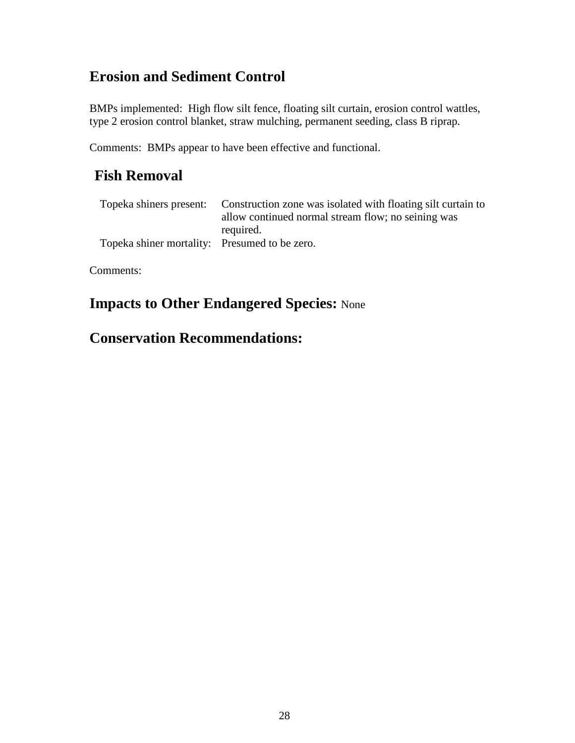# **Erosion and Sediment Control**

BMPs implemented: High flow silt fence, floating silt curtain, erosion control wattles, type 2 erosion control blanket, straw mulching, permanent seeding, class B riprap.

Comments: BMPs appear to have been effective and functional.

## **Fish Removal**

|                                               | Topeka shiners present: Construction zone was isolated with floating silt curtain to |
|-----------------------------------------------|--------------------------------------------------------------------------------------|
|                                               | allow continued normal stream flow; no seining was                                   |
|                                               | required.                                                                            |
| Topeka shiner mortality: Presumed to be zero. |                                                                                      |

Comments:

## **Impacts to Other Endangered Species:** None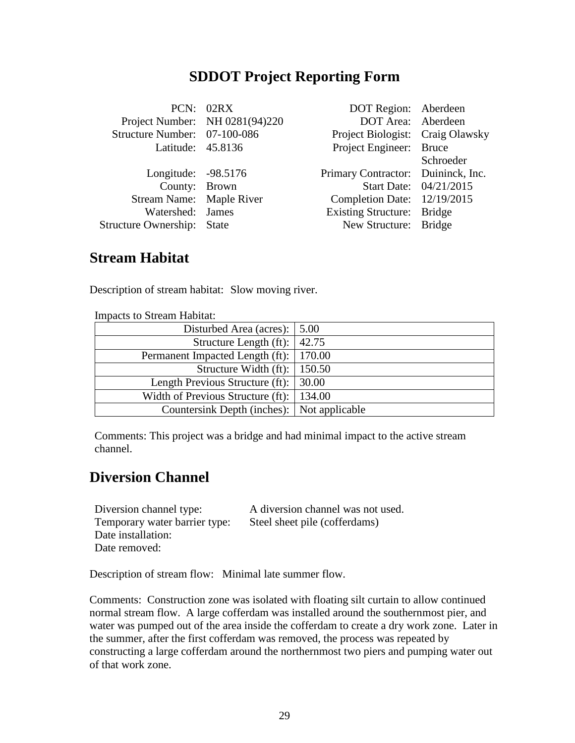### **SDDOT Project Reporting Form**

|                                   | PCN: 02RX                      | DOT Region: Aberdeen               |                        |
|-----------------------------------|--------------------------------|------------------------------------|------------------------|
|                                   | Project Number: NH 0281(94)220 | DOT Area: Aberdeen                 |                        |
| Structure Number: 07-100-086      |                                | Project Biologist: Craig Olawsky   |                        |
| Latitude: 45.8136                 |                                | Project Engineer: Bruce            |                        |
|                                   |                                |                                    | Schroeder              |
| Longitude: -98.5176               |                                | Primary Contractor: Duininck, Inc. |                        |
| County: Brown                     |                                |                                    | Start Date: 04/21/2015 |
| Stream Name: Maple River          |                                | Completion Date: 12/19/2015        |                        |
| Watershed: James                  |                                | Existing Structure: Bridge         |                        |
| <b>Structure Ownership:</b> State |                                | New Structure: Bridge              |                        |
|                                   |                                |                                    |                        |

#### **Stream Habitat**

Description of stream habitat: Slow moving river.

| mipacas to bucam riabitat.                       |  |
|--------------------------------------------------|--|
| Disturbed Area (acres): $\vert 5.00 \rangle$     |  |
| Structure Length (ft): $ 42.75$                  |  |
| Permanent Impacted Length (ft):   170.00         |  |
| Structure Width (ft): $\vert$ 150.50             |  |
| Length Previous Structure (ft): 30.00            |  |
| Width of Previous Structure (ft): $\vert$ 134.00 |  |
| Countersink Depth (inches):   Not applicable     |  |

Impacts to Stream Habitat:

Comments: This project was a bridge and had minimal impact to the active stream channel.

### **Diversion Channel**

Diversion channel type: A diversion channel was not used. Temporary water barrier type: Steel sheet pile (cofferdams) Date installation: Date removed:

Description of stream flow: Minimal late summer flow.

Comments: Construction zone was isolated with floating silt curtain to allow continued normal stream flow. A large cofferdam was installed around the southernmost pier, and water was pumped out of the area inside the cofferdam to create a dry work zone. Later in the summer, after the first cofferdam was removed, the process was repeated by constructing a large cofferdam around the northernmost two piers and pumping water out of that work zone.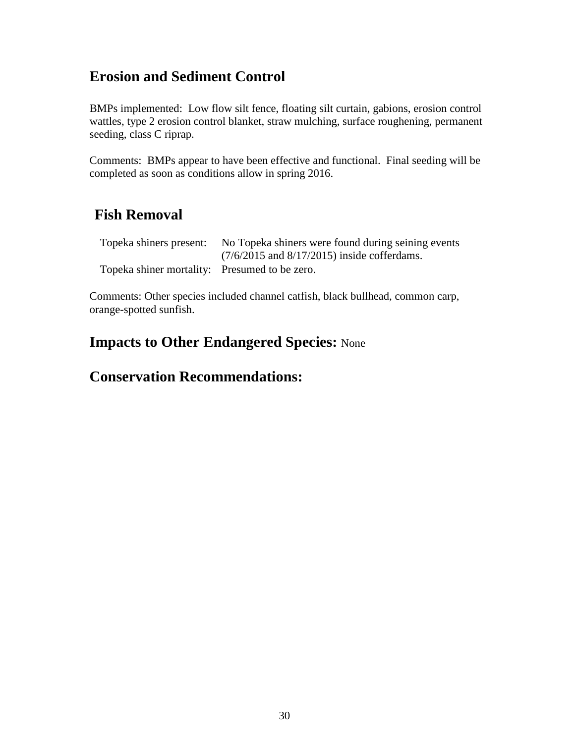# **Erosion and Sediment Control**

BMPs implemented: Low flow silt fence, floating silt curtain, gabions, erosion control wattles, type 2 erosion control blanket, straw mulching, surface roughening, permanent seeding, class C riprap.

Comments: BMPs appear to have been effective and functional. Final seeding will be completed as soon as conditions allow in spring 2016.

# **Fish Removal**

| Topeka shiners present:                       | No Topeka shiners were found during seining events |
|-----------------------------------------------|----------------------------------------------------|
|                                               | $(7/6/2015$ and $8/17/2015)$ inside cofferdams.    |
| Topeka shiner mortality: Presumed to be zero. |                                                    |

Comments: Other species included channel catfish, black bullhead, common carp, orange-spotted sunfish.

## **Impacts to Other Endangered Species:** None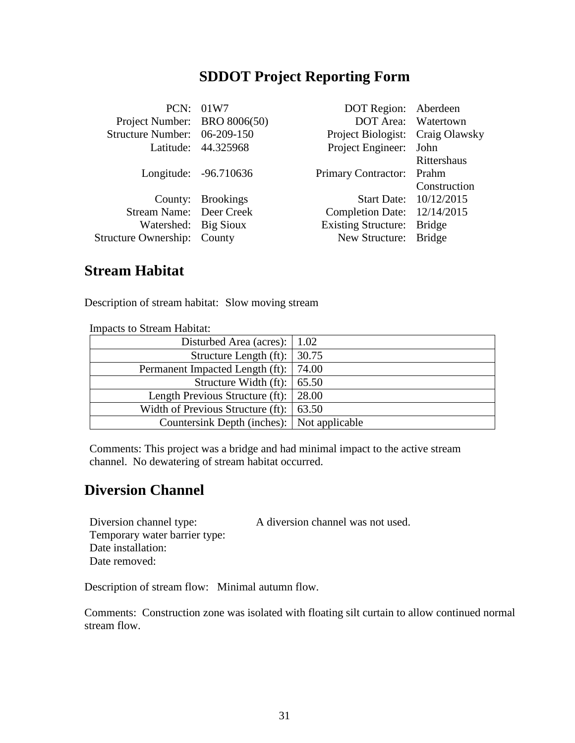### **SDDOT Project Reporting Form**

|                                    | PCN: 01W7             | DOT Region: Aberdeen             |                        |
|------------------------------------|-----------------------|----------------------------------|------------------------|
| Project Number: BRO 8006(50)       |                       | DOT Area: Watertown              |                        |
| Structure Number: 06-209-150       |                       | Project Biologist: Craig Olawsky |                        |
|                                    | Latitude: 44.325968   | Project Engineer: John           |                        |
|                                    |                       |                                  | Rittershaus            |
|                                    | Longitude: -96.710636 | Primary Contractor: Prahm        |                        |
|                                    |                       |                                  | Construction           |
|                                    | County: Brookings     |                                  | Start Date: 10/12/2015 |
| Stream Name: Deer Creek            |                       | Completion Date: 12/14/2015      |                        |
| Watershed: Big Sioux               |                       | <b>Existing Structure:</b>       | <b>Bridge</b>          |
| <b>Structure Ownership: County</b> |                       | New Structure: Bridge            |                        |
|                                    |                       |                                  |                        |

#### **Stream Habitat**

Description of stream habitat: Slow moving stream

Impacts to Stream Habitat: Disturbed Area (acres): 1.02 Structure Length (ft):  $\vert 30.75 \vert$ Permanent Impacted Length (ft):  $\vert$  74.00 Structure Width (ft): 65.50 Length Previous Structure (ft): 28.00 Width of Previous Structure (ft): 63.50 Countersink Depth (inches): Not applicable

Comments: This project was a bridge and had minimal impact to the active stream channel. No dewatering of stream habitat occurred.

## **Diversion Channel**

Diversion channel type: A diversion channel was not used.

Temporary water barrier type: Date installation: Date removed:

Description of stream flow: Minimal autumn flow.

Comments: Construction zone was isolated with floating silt curtain to allow continued normal stream flow.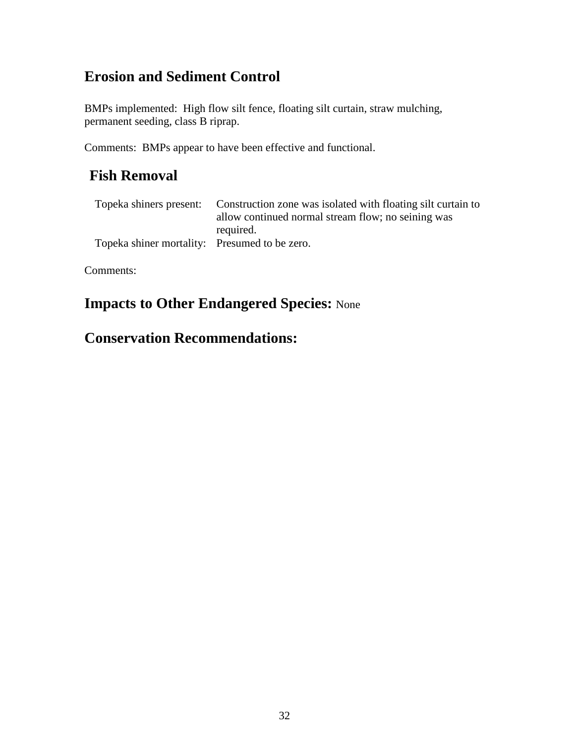# **Erosion and Sediment Control**

BMPs implemented: High flow silt fence, floating silt curtain, straw mulching, permanent seeding, class B riprap.

Comments: BMPs appear to have been effective and functional.

# **Fish Removal**

| Topeka shiners present:                       | Construction zone was isolated with floating silt curtain to |
|-----------------------------------------------|--------------------------------------------------------------|
|                                               | allow continued normal stream flow; no seining was           |
|                                               | required.                                                    |
| Topeka shiner mortality: Presumed to be zero. |                                                              |

Comments:

# **Impacts to Other Endangered Species:** None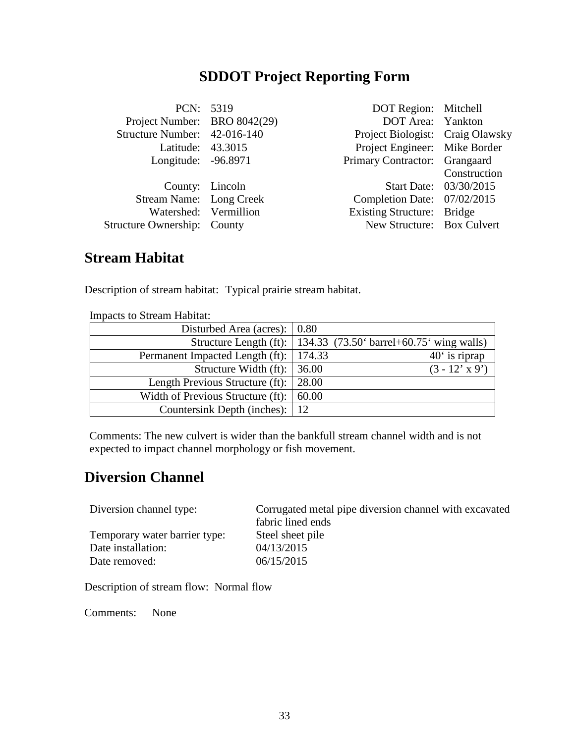# **SDDOT Project Reporting Form**

| PCN: 5319                          | DOT Region: Mitchell             |                        |
|------------------------------------|----------------------------------|------------------------|
| Project Number: BRO 8042(29)       | DOT Area: Yankton                |                        |
| Structure Number: 42-016-140       | Project Biologist: Craig Olawsky |                        |
| Latitude: 43.3015                  | Project Engineer: Mike Border    |                        |
| Longitude: -96.8971                | Primary Contractor: Grangaard    |                        |
|                                    |                                  | Construction           |
| County: Lincoln                    |                                  | Start Date: 03/30/2015 |
| Stream Name: Long Creek            | Completion Date: 07/02/2015      |                        |
| Watershed: Vermillion              | Existing Structure: Bridge       |                        |
| <b>Structure Ownership: County</b> | New Structure: Box Culvert       |                        |
|                                    |                                  |                        |

### **Stream Habitat**

Description of stream habitat: Typical prairie stream habitat.

| Disturbed Area (acres): $\vert 0.80 \rangle$    |                                                                         |
|-------------------------------------------------|-------------------------------------------------------------------------|
|                                                 | Structure Length (ft): $\vert$ 134.33 (73.50° barrel+60.75° wing walls) |
| Permanent Impacted Length (ft):   174.33        | $40°$ is riprap                                                         |
| Structure Width $(ft)$ :   36.00                | $(3 - 12' x 9')$                                                        |
| Length Previous Structure (ft): 28.00           |                                                                         |
| Width of Previous Structure (ft): $\vert$ 60.00 |                                                                         |
| Countersink Depth (inches):   12                |                                                                         |

Impacts to Stream Habitat:

Comments: The new culvert is wider than the bankfull stream channel width and is not expected to impact channel morphology or fish movement.

### **Diversion Channel**

| Diversion channel type:                             | Corrugated metal pipe diversion channel with excavated<br>fabric lined ends |
|-----------------------------------------------------|-----------------------------------------------------------------------------|
| Temporary water barrier type:<br>Date installation: | Steel sheet pile<br>04/13/2015                                              |
| Date removed:                                       | 06/15/2015                                                                  |

Description of stream flow: Normal flow

Comments: None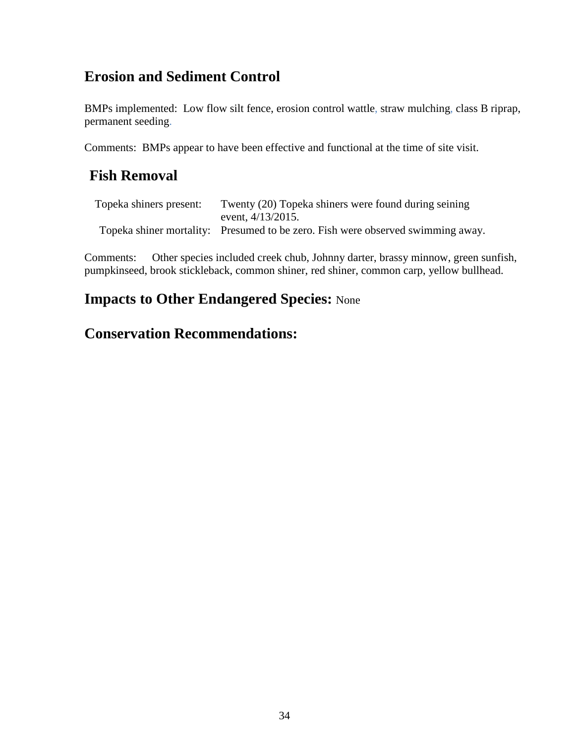# **Erosion and Sediment Control**

BMPs implemented: Low flow silt fence, erosion control wattle, straw mulching, class B riprap, permanent seeding.

Comments: BMPs appear to have been effective and functional at the time of site visit.

# **Fish Removal**

| Topeka shiners present: | Twenty (20) Topeka shiners were found during seining                            |
|-------------------------|---------------------------------------------------------------------------------|
|                         | event, $4/13/2015$ .                                                            |
|                         | Topeka shiner mortality: Presumed to be zero. Fish were observed swimming away. |

Comments: Other species included creek chub, Johnny darter, brassy minnow, green sunfish, pumpkinseed, brook stickleback, common shiner, red shiner, common carp, yellow bullhead.

## **Impacts to Other Endangered Species:** None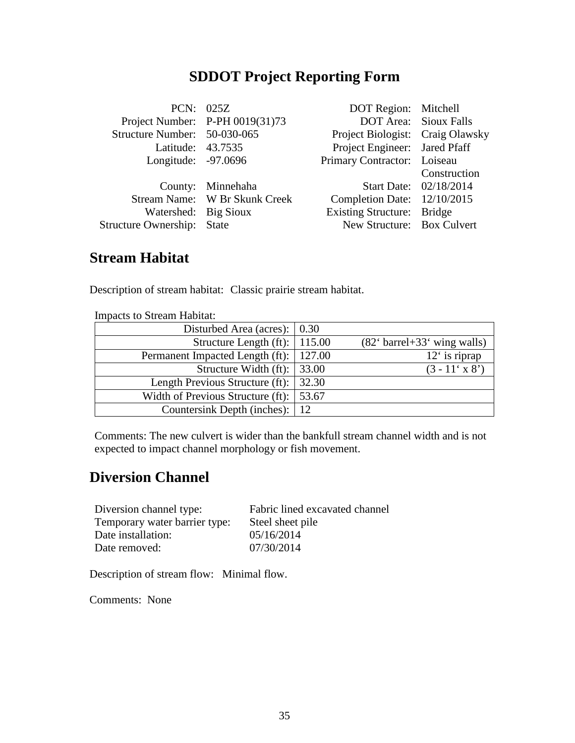# **SDDOT Project Reporting Form**

|                              | PCN: 025Z                       | DOT Region: Mitchell             |                        |
|------------------------------|---------------------------------|----------------------------------|------------------------|
|                              | Project Number: P-PH 0019(31)73 | <b>DOT Area:</b> Sioux Falls     |                        |
| Structure Number: 50-030-065 |                                 | Project Biologist: Craig Olawsky |                        |
| Latitude: 43.7535            |                                 | Project Engineer: Jared Pfaff    |                        |
| Longitude: -97.0696          |                                 | Primary Contractor: Loiseau      |                        |
|                              |                                 |                                  | Construction           |
|                              | County: Minnehaha               |                                  | Start Date: 02/18/2014 |
|                              | Stream Name: W Br Skunk Creek   | Completion Date: 12/10/2015      |                        |
| Watershed: Big Sioux         |                                 | Existing Structure: Bridge       |                        |
| Structure Ownership: State   |                                 | New Structure: Box Culvert       |                        |
|                              |                                 |                                  |                        |

### **Stream Habitat**

Description of stream habitat: Classic prairie stream habitat.

| mnouvio to is tream muortut.                 |       |                                                               |
|----------------------------------------------|-------|---------------------------------------------------------------|
| Disturbed Area (acres): $\vert 0.30 \rangle$ |       |                                                               |
| Structure Length $(ft)$ :   115.00           |       | $(82^{\circ} \text{ barrel} + 33^{\circ} \text{ wing walls})$ |
| Permanent Impacted Length (ft):   127.00     |       | $12′$ is riprap                                               |
| Structure Width (ft): $\vert$ 33.00          |       | $(3 - 11' \times 8')$                                         |
| Length Previous Structure (ft): 32.30        |       |                                                               |
| Width of Previous Structure (ft):            | 53.67 |                                                               |
| Countersink Depth (inches):   12             |       |                                                               |

Impacts to Stream Habitat:

Comments: The new culvert is wider than the bankfull stream channel width and is not expected to impact channel morphology or fish movement.

## **Diversion Channel**

| Diversion channel type:       | Fabric lined excavated channel |
|-------------------------------|--------------------------------|
| Temporary water barrier type: | Steel sheet pile               |
| Date installation:            | 05/16/2014                     |
| Date removed:                 | 07/30/2014                     |

Description of stream flow: Minimal flow.

Comments: None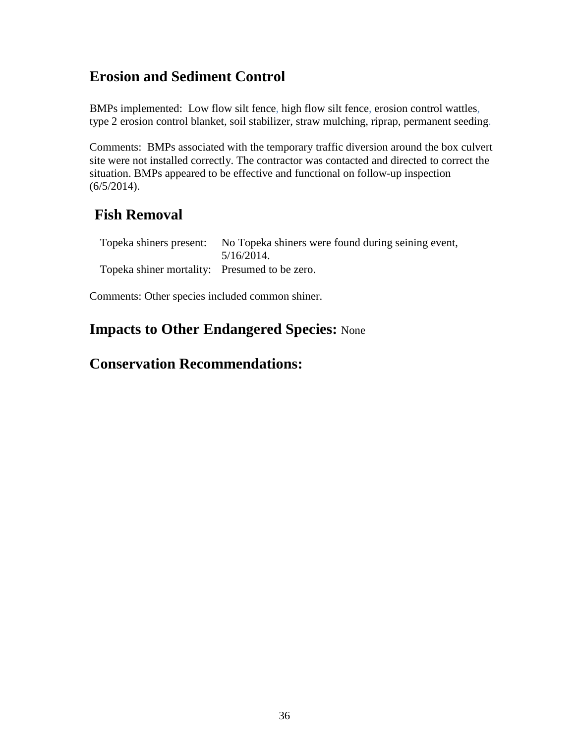# **Erosion and Sediment Control**

BMPs implemented: Low flow silt fence, high flow silt fence, erosion control wattles, type 2 erosion control blanket, soil stabilizer, straw mulching, riprap, permanent seeding.

Comments: BMPs associated with the temporary traffic diversion around the box culvert site were not installed correctly. The contractor was contacted and directed to correct the situation. BMPs appeared to be effective and functional on follow-up inspection (6/5/2014).

# **Fish Removal**

|                                               | Topeka shiners present: No Topeka shiners were found during seining event, |
|-----------------------------------------------|----------------------------------------------------------------------------|
|                                               | $5/16/2014$ .                                                              |
| Topeka shiner mortality: Presumed to be zero. |                                                                            |

Comments: Other species included common shiner.

## **Impacts to Other Endangered Species:** None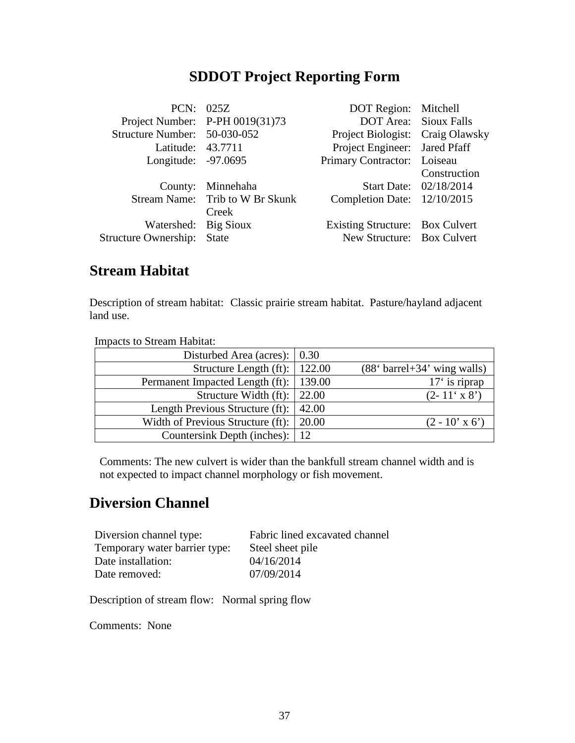|                              | PCN: 025Z                       | DOT Region: Mitchell             |                              |
|------------------------------|---------------------------------|----------------------------------|------------------------------|
|                              | Project Number: P-PH 0019(31)73 |                                  | <b>DOT Area:</b> Sioux Falls |
| Structure Number: 50-030-052 |                                 | Project Biologist: Craig Olawsky |                              |
| Latitude: 43.7711            |                                 | Project Engineer: Jared Pfaff    |                              |
| Longitude: -97.0695          |                                 | Primary Contractor: Loiseau      |                              |
|                              |                                 |                                  | Construction                 |
|                              | County: Minnehaha               |                                  | Start Date: 02/18/2014       |
|                              | Stream Name: Trib to W Br Skunk | Completion Date: 12/10/2015      |                              |
|                              | Creek                           |                                  |                              |
| Watershed: Big Sioux         |                                 | Existing Structure: Box Culvert  |                              |
| Structure Ownership: State   |                                 | New Structure: Box Culvert       |                              |
|                              |                                 |                                  |                              |

## **Stream Habitat**

Description of stream habitat: Classic prairie stream habitat. Pasture/hayland adjacent land use.

| <b>Impacts to Stream Habitat:</b>            |        |                                 |
|----------------------------------------------|--------|---------------------------------|
| Disturbed Area (acres): $\vert 0.30 \rangle$ |        |                                 |
| Structure Length (ft):   122.00              |        | $(884 barrel + 343 wing walls)$ |
| Permanent Impacted Length (ft):              | 139.00 | $17'$ is riprap                 |
| Structure Width (ft): $\vert$ 22.00          |        | $(2 - 11' \times 8')$           |
| Length Previous Structure (ft):              | 42.00  |                                 |
| Width of Previous Structure (ft):            | 20.00  | $(2 - 10' \times 6')$           |
| Countersink Depth (inches):   12             |        |                                 |

Comments: The new culvert is wider than the bankfull stream channel width and is not expected to impact channel morphology or fish movement.

#### **Diversion Channel**

| Diversion channel type:       | Fabric lined excavated channel |
|-------------------------------|--------------------------------|
| Temporary water barrier type: | Steel sheet pile               |
| Date installation:            | 04/16/2014                     |
| Date removed:                 | 07/09/2014                     |

Description of stream flow: Normal spring flow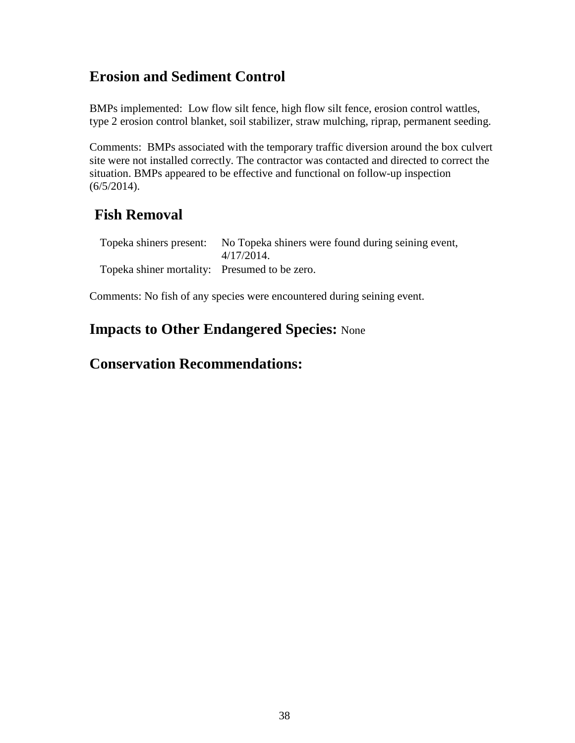BMPs implemented: Low flow silt fence, high flow silt fence, erosion control wattles, type 2 erosion control blanket, soil stabilizer, straw mulching, riprap, permanent seeding.

Comments: BMPs associated with the temporary traffic diversion around the box culvert site were not installed correctly. The contractor was contacted and directed to correct the situation. BMPs appeared to be effective and functional on follow-up inspection (6/5/2014).

## **Fish Removal**

|                                               | Topeka shiners present: No Topeka shiners were found during seining event, |
|-----------------------------------------------|----------------------------------------------------------------------------|
|                                               | $4/17/2014$ .                                                              |
| Topeka shiner mortality: Presumed to be zero. |                                                                            |

Comments: No fish of any species were encountered during seining event.

## **Impacts to Other Endangered Species:** None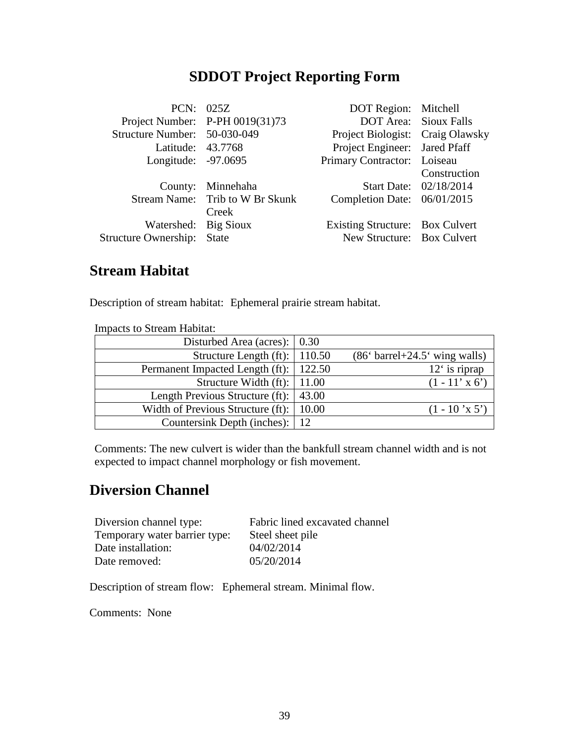|                                   | PCN: 025Z                       | DOT Region: Mitchell             |                              |
|-----------------------------------|---------------------------------|----------------------------------|------------------------------|
|                                   | Project Number: P-PH 0019(31)73 |                                  | <b>DOT Area:</b> Sioux Falls |
| Structure Number: 50-030-049      |                                 | Project Biologist: Craig Olawsky |                              |
| Latitude: 43.7768                 |                                 | Project Engineer: Jared Pfaff    |                              |
| Longitude: -97.0695               |                                 | Primary Contractor: Loiseau      |                              |
|                                   |                                 |                                  | Construction                 |
|                                   | County: Minnehaha               |                                  | Start Date: 02/18/2014       |
|                                   | Stream Name: Trib to W Br Skunk | Completion Date: 06/01/2015      |                              |
|                                   | Creek                           |                                  |                              |
| Watershed: Big Sioux              |                                 | Existing Structure: Box Culvert  |                              |
| <b>Structure Ownership:</b> State |                                 | New Structure: Box Culvert       |                              |
|                                   |                                 |                                  |                              |

## **Stream Habitat**

Description of stream habitat: Ephemeral prairie stream habitat.

| <b>Impacts to Stream Habitat:</b>            |        |                                 |
|----------------------------------------------|--------|---------------------------------|
| Disturbed Area (acres): $\vert 0.30 \rangle$ |        |                                 |
| Structure Length (ft): $\vert$ 110.50        |        | $(866 barrel+24.56 wing walls)$ |
| Permanent Impacted Length (ft):              | 122.50 | $12′$ is riprap                 |
| Structure Width (ft): $\vert$ 11.00          |        | $(1 - 11' \times 6')$           |
| Length Previous Structure (ft):              | 43.00  |                                 |
| Width of Previous Structure (ft):            | 10.00  | $(1 - 10 \text{ Y} \cdot 5')$   |
| Countersink Depth (inches):   12             |        |                                 |

Comments: The new culvert is wider than the bankfull stream channel width and is not expected to impact channel morphology or fish movement.

#### **Diversion Channel**

| Diversion channel type:       | Fabric lined excavated channel |
|-------------------------------|--------------------------------|
| Temporary water barrier type: | Steel sheet pile               |
| Date installation:            | 04/02/2014                     |
| Date removed:                 | 05/20/2014                     |

Description of stream flow: Ephemeral stream. Minimal flow.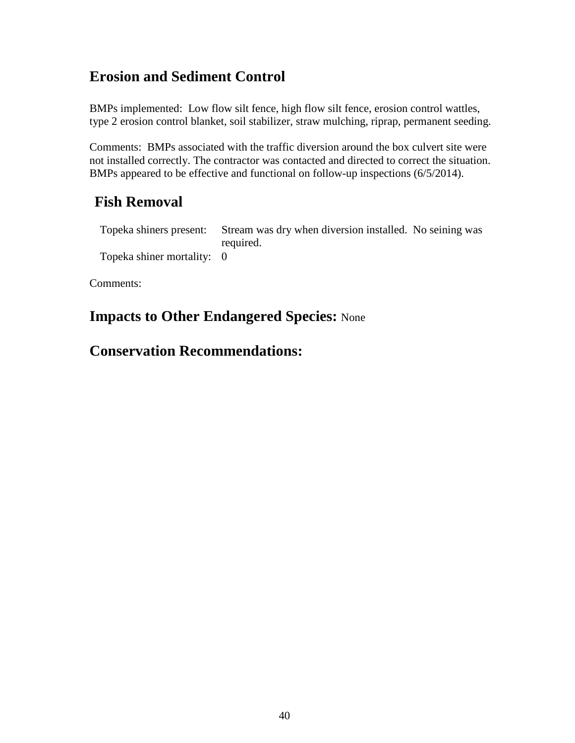BMPs implemented: Low flow silt fence, high flow silt fence, erosion control wattles, type 2 erosion control blanket, soil stabilizer, straw mulching, riprap, permanent seeding.

Comments: BMPs associated with the traffic diversion around the box culvert site were not installed correctly. The contractor was contacted and directed to correct the situation. BMPs appeared to be effective and functional on follow-up inspections (6/5/2014).

# **Fish Removal**

Topeka shiners present: Stream was dry when diversion installed. No seining was required. Topeka shiner mortality: 0

Comments:

## **Impacts to Other Endangered Species:** None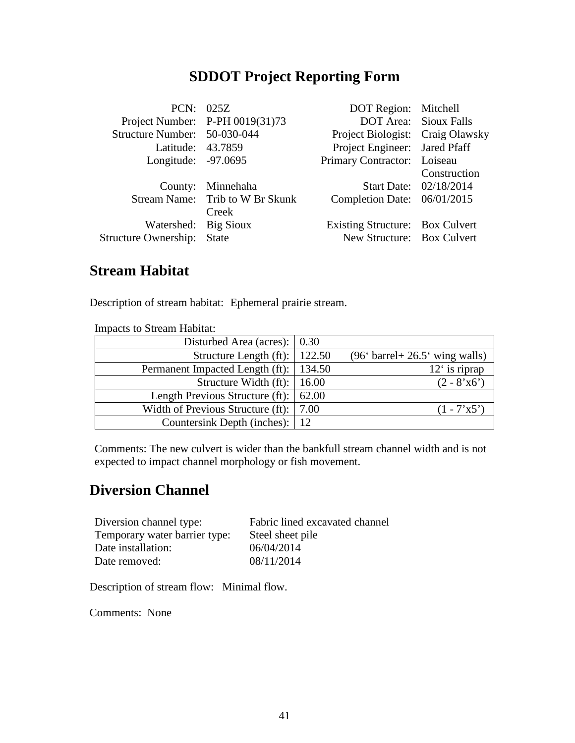|                                   | PCN: 025Z                       | DOT Region: Mitchell             |                              |
|-----------------------------------|---------------------------------|----------------------------------|------------------------------|
|                                   | Project Number: P-PH 0019(31)73 |                                  | <b>DOT Area:</b> Sioux Falls |
| Structure Number: 50-030-044      |                                 | Project Biologist: Craig Olawsky |                              |
| Latitude: 43.7859                 |                                 | Project Engineer: Jared Pfaff    |                              |
| Longitude: -97.0695               |                                 | Primary Contractor: Loiseau      |                              |
|                                   |                                 |                                  | Construction                 |
|                                   | County: Minnehaha               |                                  | Start Date: 02/18/2014       |
|                                   | Stream Name: Trib to W Br Skunk | Completion Date: 06/01/2015      |                              |
|                                   | Creek                           |                                  |                              |
| Watershed: Big Sioux              |                                 | Existing Structure: Box Culvert  |                              |
| <b>Structure Ownership:</b> State |                                 | New Structure: Box Culvert       |                              |
|                                   |                                 |                                  |                              |

## **Stream Habitat**

Description of stream habitat: Ephemeral prairie stream.

| <b>Impacts to Stream Habitat:</b>                    |                                                               |
|------------------------------------------------------|---------------------------------------------------------------|
| Disturbed Area (acres): $\vert 0.30 \rangle$         |                                                               |
| Structure Length (ft):   $122.50$                    | $(96^{\circ} \text{barrel} + 26.5^{\circ} \text{wing walls})$ |
| Permanent Impacted Length (ft):   134.50             | $12′$ is riprap                                               |
| Structure Width (ft): $\vert$ 16.00                  | $(2 - 8'x6')$                                                 |
| Length Previous Structure (ft): $\vert$ 62.00        |                                                               |
| Width of Previous Structure (ft): $\vert 7.00 \vert$ | $(1 - 7'x5')$                                                 |
| Countersink Depth (inches):   12                     |                                                               |

Comments: The new culvert is wider than the bankfull stream channel width and is not expected to impact channel morphology or fish movement.

#### **Diversion Channel**

| Diversion channel type:       | Fabric lined excavated channel |
|-------------------------------|--------------------------------|
| Temporary water barrier type: | Steel sheet pile               |
| Date installation:            | 06/04/2014                     |
| Date removed:                 | 08/11/2014                     |

Description of stream flow: Minimal flow.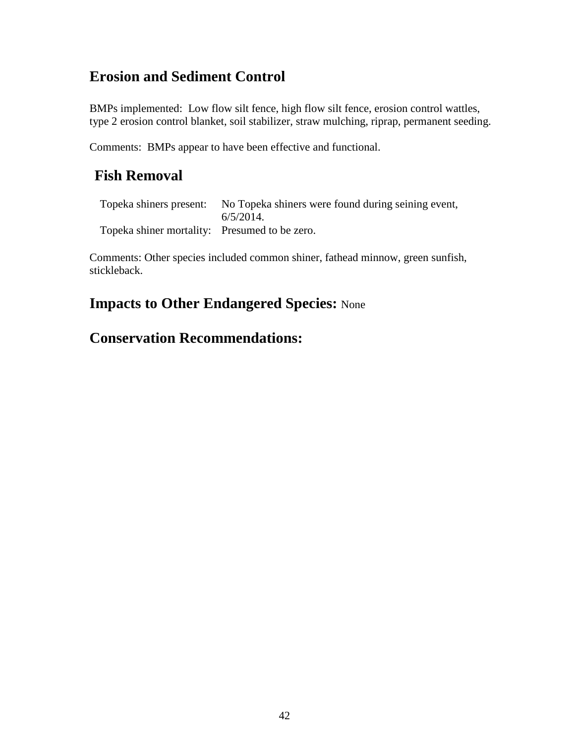BMPs implemented: Low flow silt fence, high flow silt fence, erosion control wattles, type 2 erosion control blanket, soil stabilizer, straw mulching, riprap, permanent seeding.

Comments: BMPs appear to have been effective and functional.

## **Fish Removal**

|                                               | Topeka shiners present: No Topeka shiners were found during seining event, |
|-----------------------------------------------|----------------------------------------------------------------------------|
|                                               | $6/5/2014$ .                                                               |
| Topeka shiner mortality: Presumed to be zero. |                                                                            |

Comments: Other species included common shiner, fathead minnow, green sunfish, stickleback.

## **Impacts to Other Endangered Species:** None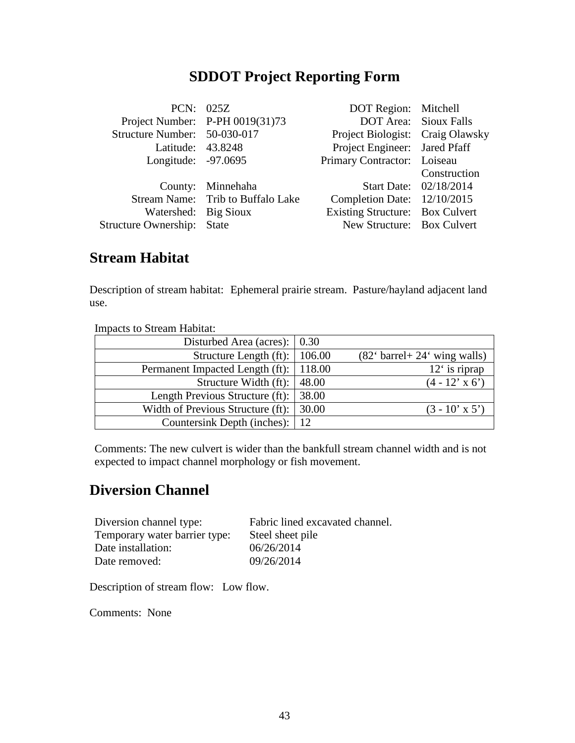|                              | PCN: 025Z                         | DOT Region: Mitchell             |                              |
|------------------------------|-----------------------------------|----------------------------------|------------------------------|
|                              | Project Number: $P-PH 0019(31)73$ |                                  | <b>DOT Area:</b> Sioux Falls |
| Structure Number: 50-030-017 |                                   | Project Biologist: Craig Olawsky |                              |
| Latitude: 43.8248            |                                   | Project Engineer: Jared Pfaff    |                              |
| Longitude: -97.0695          |                                   | Primary Contractor: Loiseau      |                              |
|                              |                                   |                                  | Construction                 |
|                              | County: Minnehaha                 |                                  | Start Date: 02/18/2014       |
|                              | Stream Name: Trib to Buffalo Lake | Completion Date: 12/10/2015      |                              |
| Watershed: Big Sioux         |                                   | Existing Structure: Box Culvert  |                              |
| Structure Ownership: State   |                                   | New Structure: Box Culvert       |                              |
|                              |                                   |                                  |                              |

#### **Stream Habitat**

Description of stream habitat: Ephemeral prairie stream. Pasture/hayland adjacent land use.

| <b>Impacts to Stream Habitat:</b>                     |       |                                                               |
|-------------------------------------------------------|-------|---------------------------------------------------------------|
| Disturbed Area (acres): $\vert 0.30 \rangle$          |       |                                                               |
| Structure Length (ft):   106.00                       |       | $(82^{\circ} \text{ barrel} + 24^{\circ} \text{ wing walls})$ |
| Permanent Impacted Length (ft):   118.00              |       | $12′$ is riprap                                               |
| Structure Width $(ft)$ :                              | 48.00 | $(4 - 12^{x} \times 6^{x})$                                   |
| Length Previous Structure (ft): 38.00                 |       |                                                               |
| Width of Previous Structure (ft): $\vert 30.00 \vert$ |       | $(3 - 10' \times 5')$                                         |
| Countersink Depth (inches):   12                      |       |                                                               |

Comments: The new culvert is wider than the bankfull stream channel width and is not expected to impact channel morphology or fish movement.

#### **Diversion Channel**

| Fabric lined excavated channel. |
|---------------------------------|
| Steel sheet pile                |
| 06/26/2014                      |
| 09/26/2014                      |
|                                 |

Description of stream flow: Low flow.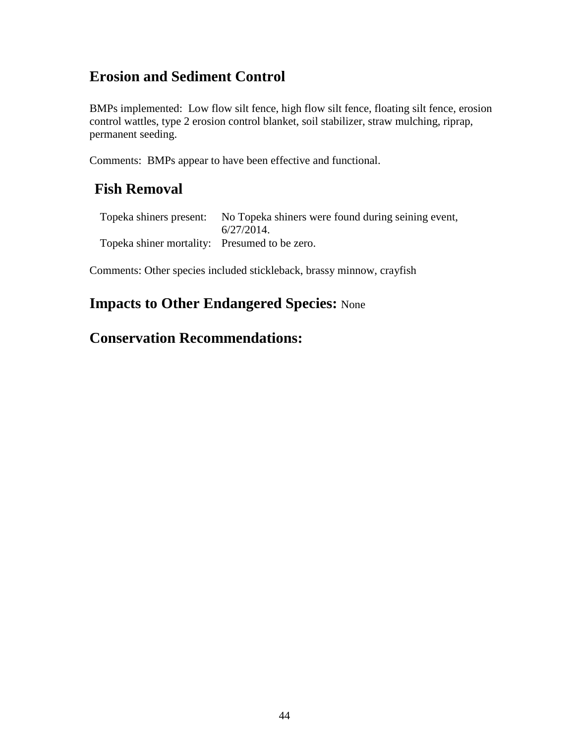BMPs implemented: Low flow silt fence, high flow silt fence, floating silt fence, erosion control wattles, type 2 erosion control blanket, soil stabilizer, straw mulching, riprap, permanent seeding.

Comments: BMPs appear to have been effective and functional.

## **Fish Removal**

|                                               | Topeka shiners present: No Topeka shiners were found during seining event, |
|-----------------------------------------------|----------------------------------------------------------------------------|
|                                               | 6/27/2014.                                                                 |
| Topeka shiner mortality: Presumed to be zero. |                                                                            |

Comments: Other species included stickleback, brassy minnow, crayfish

## **Impacts to Other Endangered Species:** None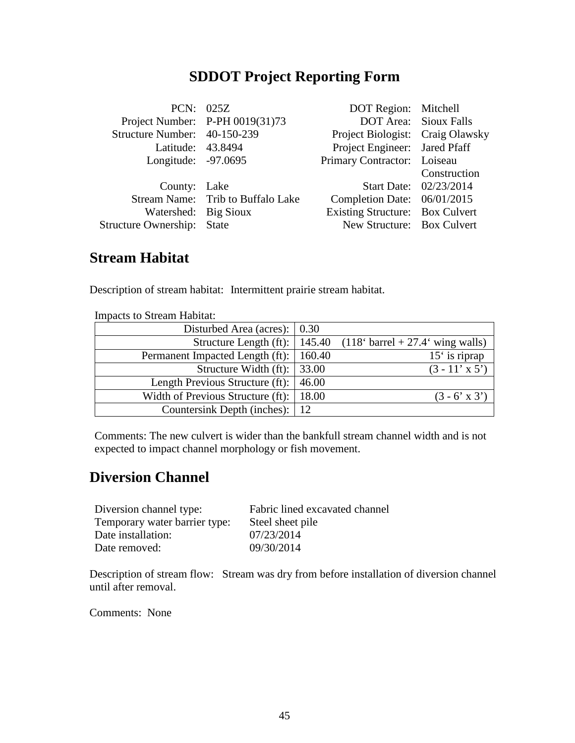|                                   | PCN: 025Z                         | DOT Region: Mitchell             |                              |
|-----------------------------------|-----------------------------------|----------------------------------|------------------------------|
|                                   |                                   |                                  |                              |
|                                   | Project Number: P-PH 0019(31)73   |                                  | <b>DOT Area:</b> Sioux Falls |
| Structure Number: 40-150-239      |                                   | Project Biologist: Craig Olawsky |                              |
| Latitude: 43.8494                 |                                   | Project Engineer: Jared Pfaff    |                              |
| Longitude: -97.0695               |                                   | Primary Contractor: Loiseau      |                              |
|                                   |                                   |                                  | Construction                 |
| County: Lake                      |                                   |                                  | Start Date: 02/23/2014       |
|                                   | Stream Name: Trib to Buffalo Lake | Completion Date: 06/01/2015      |                              |
| Watershed: Big Sioux              |                                   | Existing Structure: Box Culvert  |                              |
| <b>Structure Ownership: State</b> |                                   | New Structure: Box Culvert       |                              |
|                                   |                                   |                                  |                              |

#### **Stream Habitat**

Description of stream habitat: Intermittent prairie stream habitat.

| mipacas to bucam riabitat.                      |       |                                    |
|-------------------------------------------------|-------|------------------------------------|
| Disturbed Area (acres): $\vert 0.30 \rangle$    |       |                                    |
| Structure Length (ft): $\vert$ 145.40           |       | $(1186 barrel + 27.46 wing walls)$ |
| Permanent Impacted Length (ft):   160.40        |       | $15′$ is riprap                    |
| Structure Width $(ft)$ :   33.00                |       | $(3 - 11' \times 5')$              |
| Length Previous Structure (ft):                 | 46.00 |                                    |
| Width of Previous Structure (ft): $\vert$ 18.00 |       | $(3 - 6' \times 3')$               |
| Countersink Depth (inches):   12                |       |                                    |

Impacts to Stream Habitat:

Comments: The new culvert is wider than the bankfull stream channel width and is not expected to impact channel morphology or fish movement.

#### **Diversion Channel**

| Diversion channel type:       | Fabric lined excavated channel |
|-------------------------------|--------------------------------|
| Temporary water barrier type: | Steel sheet pile               |
| Date installation:            | 07/23/2014                     |
| Date removed:                 | 09/30/2014                     |

Description of stream flow: Stream was dry from before installation of diversion channel until after removal.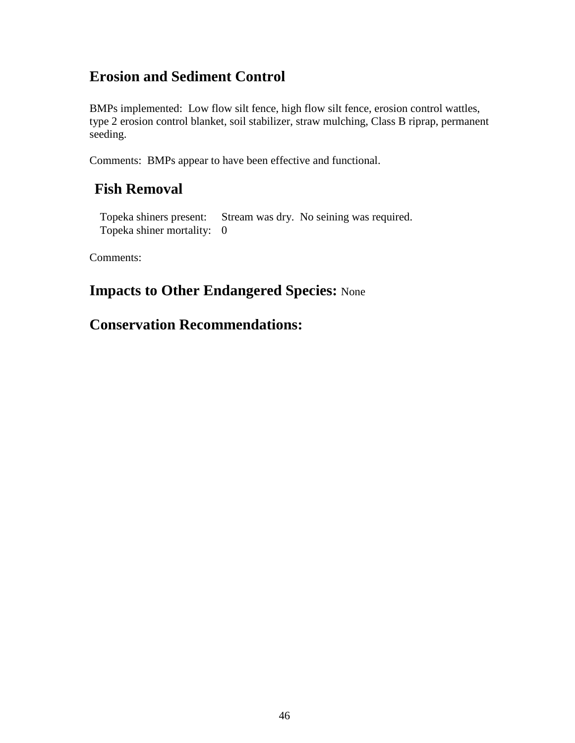BMPs implemented: Low flow silt fence, high flow silt fence, erosion control wattles, type 2 erosion control blanket, soil stabilizer, straw mulching, Class B riprap, permanent seeding.

Comments: BMPs appear to have been effective and functional.

#### **Fish Removal**

Topeka shiners present: Stream was dry. No seining was required. Topeka shiner mortality: 0

Comments:

## **Impacts to Other Endangered Species:** None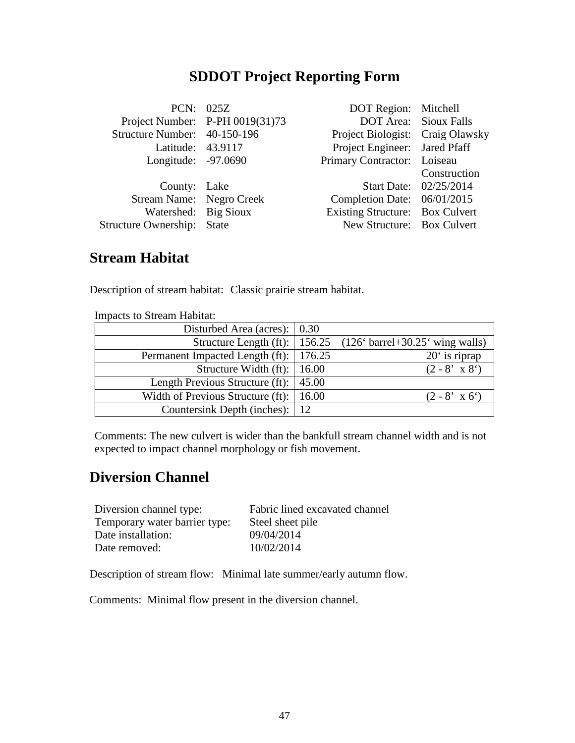|                                   | PCN: 025Z                       | DOT Region: Mitchell             |                        |
|-----------------------------------|---------------------------------|----------------------------------|------------------------|
|                                   | Project Number: P-PH 0019(31)73 | <b>DOT Area:</b> Sioux Falls     |                        |
| Structure Number: 40-150-196      |                                 | Project Biologist: Craig Olawsky |                        |
| Latitude: 43.9117                 |                                 | Project Engineer: Jared Pfaff    |                        |
| Longitude: -97.0690               |                                 | Primary Contractor: Loiseau      |                        |
|                                   |                                 |                                  | Construction           |
| County: Lake                      |                                 |                                  | Start Date: 02/25/2014 |
| Stream Name: Negro Creek          |                                 | Completion Date: 06/01/2015      |                        |
| Watershed: Big Sioux              |                                 | Existing Structure: Box Culvert  |                        |
| <b>Structure Ownership:</b> State |                                 | New Structure: Box Culvert       |                        |
|                                   |                                 |                                  |                        |

#### **Stream Habitat**

Description of stream habitat: Classic prairie stream habitat.

| mnouvio to is tream muortut.                          |                                                                   |
|-------------------------------------------------------|-------------------------------------------------------------------|
| Disturbed Area (acres): $\vert 0.30 \rangle$          |                                                                   |
| Structure Length (ft): $\vert$ 156.25                 | $(126^{\circ} \text{ barrel} + 30.25^{\circ} \text{ wing walls})$ |
| Permanent Impacted Length (ft):   176.25              | $20°$ is riprap                                                   |
| Structure Width (ft): $\vert$ 16.00                   | $(2 - 8' \times 8')$                                              |
| Length Previous Structure (ft): $\vert 45.00 \rangle$ |                                                                   |
| Width of Previous Structure (ft): $\vert$ 16.00       | $(2 - 8' \times 6')$                                              |
| Countersink Depth (inches):   12                      |                                                                   |

Impacts to Stream Habitat:

Comments: The new culvert is wider than the bankfull stream channel width and is not expected to impact channel morphology or fish movement.

#### **Diversion Channel**

| Diversion channel type:       | Fabric lined excavated channel |
|-------------------------------|--------------------------------|
| Temporary water barrier type: | Steel sheet pile               |
| Date installation:            | 09/04/2014                     |
| Date removed:                 | 10/02/2014                     |

Description of stream flow: Minimal late summer/early autumn flow.

Comments: Minimal flow present in the diversion channel.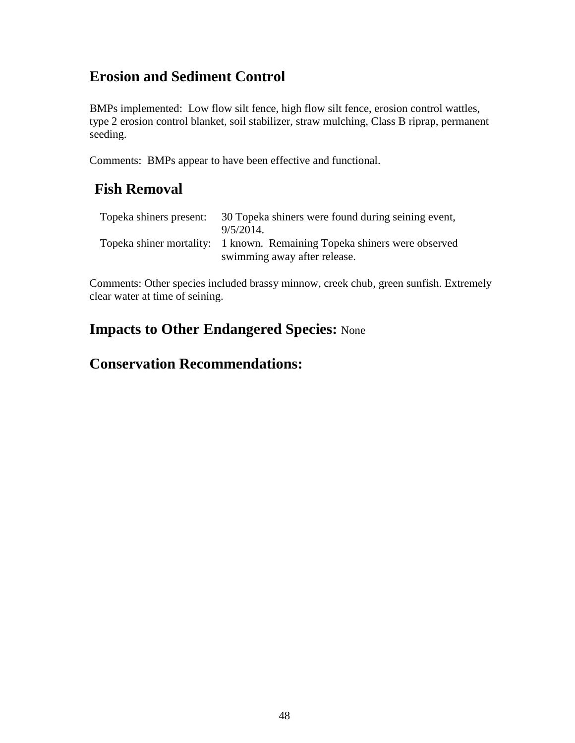BMPs implemented: Low flow silt fence, high flow silt fence, erosion control wattles, type 2 erosion control blanket, soil stabilizer, straw mulching, Class B riprap, permanent seeding.

Comments: BMPs appear to have been effective and functional.

## **Fish Removal**

| Topeka shiners present: | 30 Topeka shiners were found during seining event,<br>$9/5/2014$ .                                       |
|-------------------------|----------------------------------------------------------------------------------------------------------|
|                         | Topeka shiner mortality: 1 known. Remaining Topeka shiners were observed<br>swimming away after release. |

Comments: Other species included brassy minnow, creek chub, green sunfish. Extremely clear water at time of seining.

## **Impacts to Other Endangered Species:** None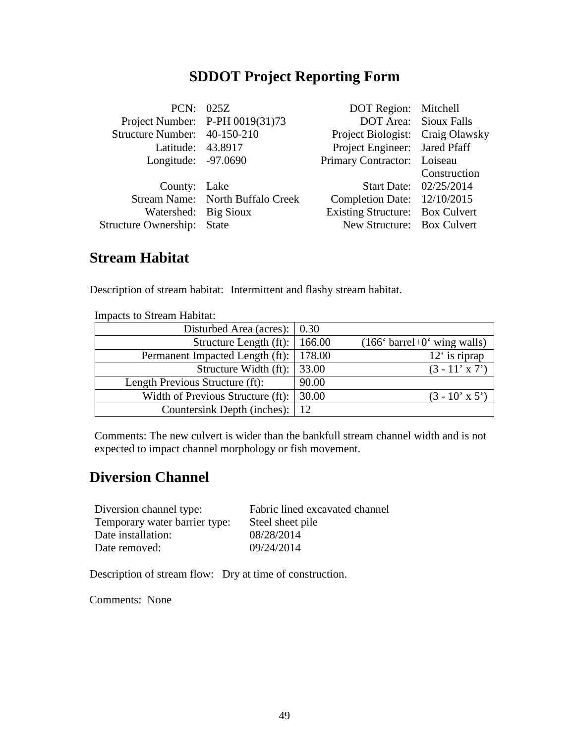|                              | PCN: 025Z                        | DOT Region: Mitchell             |                              |
|------------------------------|----------------------------------|----------------------------------|------------------------------|
|                              | Project Number: P-PH 0019(31)73  |                                  | <b>DOT Area:</b> Sioux Falls |
| Structure Number: 40-150-210 |                                  | Project Biologist: Craig Olawsky |                              |
| Latitude: 43.8917            |                                  | Project Engineer: Jared Pfaff    |                              |
| Longitude: -97.0690          |                                  | Primary Contractor: Loiseau      |                              |
|                              |                                  |                                  | Construction                 |
| County: Lake                 |                                  |                                  | Start Date: 02/25/2014       |
|                              | Stream Name: North Buffalo Creek | Completion Date: 12/10/2015      |                              |
| Watershed: Big Sioux         |                                  | Existing Structure: Box Culvert  |                              |
| Structure Ownership: State   |                                  | New Structure: Box Culvert       |                              |
|                              |                                  |                                  |                              |

#### **Stream Habitat**

Description of stream habitat: Intermittent and flashy stream habitat.

| mipacas to bucam Habhat.                     |       |                                                               |
|----------------------------------------------|-------|---------------------------------------------------------------|
| Disturbed Area (acres): $\vert 0.30 \rangle$ |       |                                                               |
| Structure Length $(ft)$ :   166.00           |       | $(166^{\circ} \text{ barrel} + 0^{\circ} \text{ wing walls})$ |
| Permanent Impacted Length (ft):   178.00     |       | $12′$ is riprap                                               |
| Structure Width $(ft)$ : 33.00               |       | $(3 - 11' \times 7')$                                         |
| Length Previous Structure (ft):              | 90.00 |                                                               |
| Width of Previous Structure (ft):            | 30.00 | $(3 - 10' \times 5')$                                         |
| Countersink Depth (inches):   12             |       |                                                               |

Impacts to Stream Habitat:

Comments: The new culvert is wider than the bankfull stream channel width and is not expected to impact channel morphology or fish movement.

#### **Diversion Channel**

| Diversion channel type:       | Fabric lined excavated channel |
|-------------------------------|--------------------------------|
| Temporary water barrier type: | Steel sheet pile               |
| Date installation:            | 08/28/2014                     |
| Date removed:                 | 09/24/2014                     |

Description of stream flow: Dry at time of construction.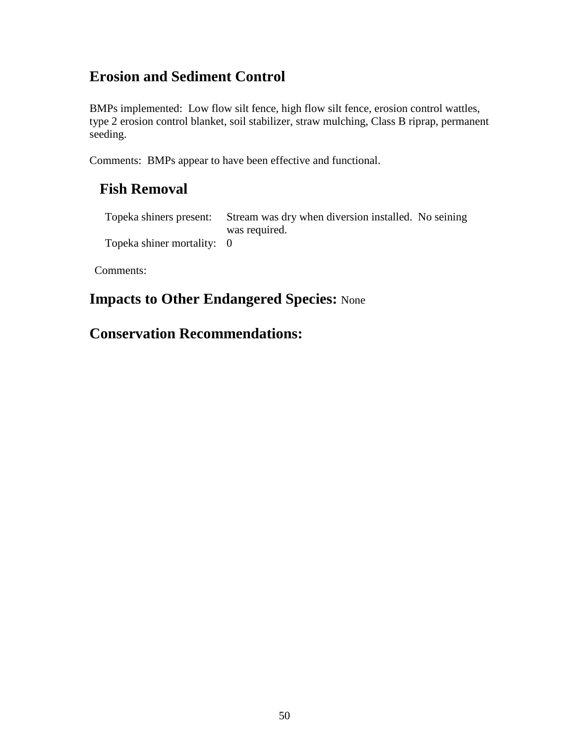BMPs implemented: Low flow silt fence, high flow silt fence, erosion control wattles, type 2 erosion control blanket, soil stabilizer, straw mulching, Class B riprap, permanent seeding.

Comments: BMPs appear to have been effective and functional.

#### **Fish Removal**

Topeka shiners present: Stream was dry when diversion installed. No seining was required. Topeka shiner mortality: 0

Comments:

#### **Impacts to Other Endangered Species:** None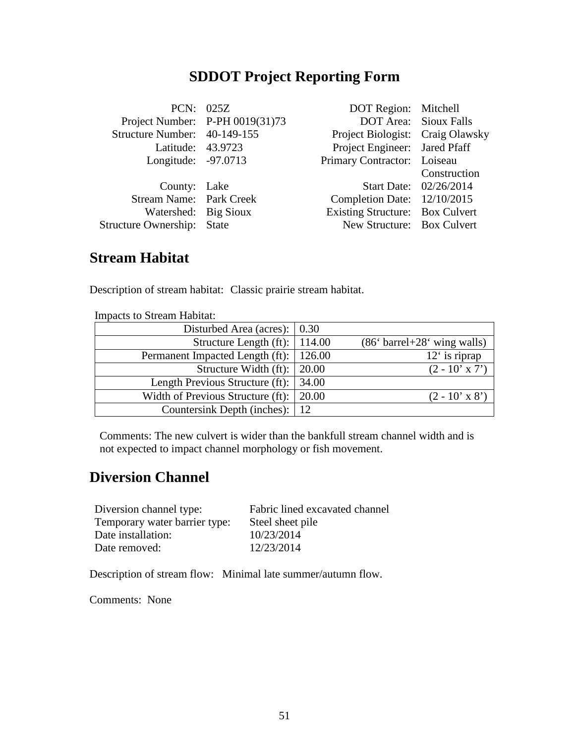|                              | PCN: 025Z                         | DOT Region: Mitchell             |                              |
|------------------------------|-----------------------------------|----------------------------------|------------------------------|
|                              | Project Number: $P-PH 0019(31)73$ |                                  | <b>DOT Area:</b> Sioux Falls |
| Structure Number: 40-149-155 |                                   | Project Biologist: Craig Olawsky |                              |
| Latitude: 43.9723            |                                   | Project Engineer: Jared Pfaff    |                              |
| Longitude: -97.0713          |                                   | Primary Contractor: Loiseau      |                              |
|                              |                                   |                                  | Construction                 |
| County: Lake                 |                                   |                                  | Start Date: 02/26/2014       |
| Stream Name: Park Creek      |                                   | Completion Date: 12/10/2015      |                              |
| Watershed: Big Sioux         |                                   | Existing Structure: Box Culvert  |                              |
| Structure Ownership: State   |                                   | New Structure: Box Culvert       |                              |
|                              |                                   |                                  |                              |

#### **Stream Habitat**

Description of stream habitat: Classic prairie stream habitat.

| mipacas to bucam Habitat.                       |                               |
|-------------------------------------------------|-------------------------------|
| Disturbed Area (acres): $\vert 0.30 \rangle$    |                               |
| Structure Length (ft):   114.00                 | $(866 barrel+286 wing walls)$ |
| Permanent Impacted Length (ft):   126.00        | $12′$ is riprap               |
| Structure Width (ft): $\vert$ 20.00             | $(2 - 10' \times 7')$         |
| Length Previous Structure (ft): $\vert$ 34.00   |                               |
| Width of Previous Structure (ft): $\vert$ 20.00 | $(2 - 10' \times 8')$         |
| Countersink Depth (inches):   12                |                               |

Impacts to Stream Habitat:

Comments: The new culvert is wider than the bankfull stream channel width and is not expected to impact channel morphology or fish movement.

#### **Diversion Channel**

| Diversion channel type:       | Fabric lined excavated channel |
|-------------------------------|--------------------------------|
| Temporary water barrier type: | Steel sheet pile               |
| Date installation:            | 10/23/2014                     |
| Date removed:                 | 12/23/2014                     |

Description of stream flow: Minimal late summer/autumn flow.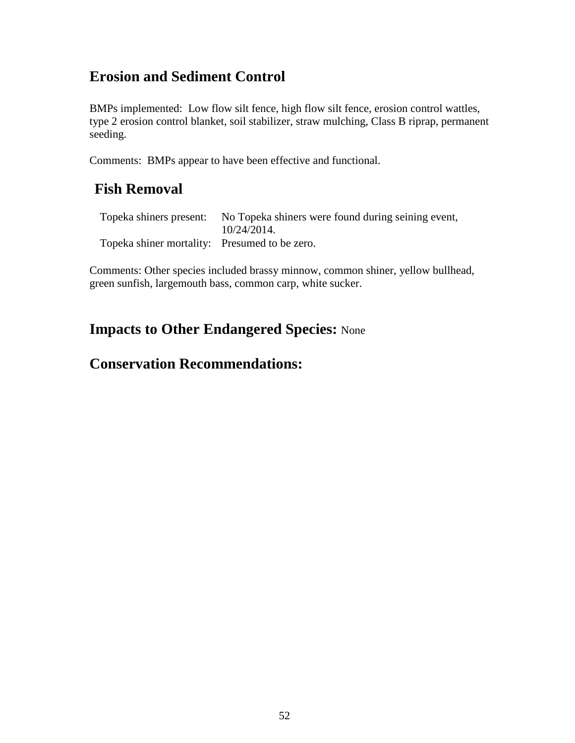BMPs implemented: Low flow silt fence, high flow silt fence, erosion control wattles, type 2 erosion control blanket, soil stabilizer, straw mulching, Class B riprap, permanent seeding.

Comments: BMPs appear to have been effective and functional.

#### **Fish Removal**

|                                               | Topeka shiners present: No Topeka shiners were found during seining event, |
|-----------------------------------------------|----------------------------------------------------------------------------|
|                                               | 10/24/2014.                                                                |
| Topeka shiner mortality: Presumed to be zero. |                                                                            |

Comments: Other species included brassy minnow, common shiner, yellow bullhead, green sunfish, largemouth bass, common carp, white sucker.

#### **Impacts to Other Endangered Species:** None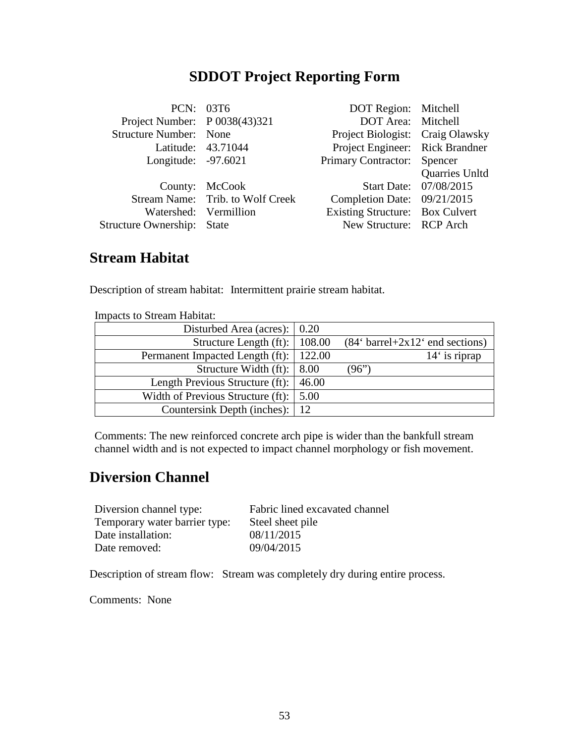|                                   | PCN: 03T6                        | DOT Region: Mitchell             |                        |
|-----------------------------------|----------------------------------|----------------------------------|------------------------|
| Project Number: P 0038(43)321     |                                  | DOT Area: Mitchell               |                        |
| <b>Structure Number:</b> None     |                                  | Project Biologist: Craig Olawsky |                        |
|                                   | Latitude: 43.71044               | Project Engineer: Rick Brandner  |                        |
| Longitude: -97.6021               |                                  | Primary Contractor: Spencer      |                        |
|                                   |                                  |                                  | Quarries Unltd         |
|                                   | County: McCook                   |                                  | Start Date: 07/08/2015 |
|                                   | Stream Name: Trib. to Wolf Creek | Completion Date: 09/21/2015      |                        |
| Watershed: Vermillion             |                                  | Existing Structure: Box Culvert  |                        |
| <b>Structure Ownership: State</b> |                                  | New Structure: RCP Arch          |                        |
|                                   |                                  |                                  |                        |

#### **Stream Habitat**

Description of stream habitat: Intermittent prairie stream habitat.

| mnouvio to is tream muortut.             |       |                                                     |
|------------------------------------------|-------|-----------------------------------------------------|
| Disturbed Area (acres):   0.20           |       |                                                     |
| Structure Length $(ft)$ :   108.00       |       | $(84' \text{ barrel} + 2x12' \text{ end sections})$ |
| Permanent Impacted Length (ft):   122.00 |       | $14'$ is riprap                                     |
| Structure Width (ft): $\vert 8.00 \vert$ |       | (96")                                               |
| Length Previous Structure (ft):          | 46.00 |                                                     |
| Width of Previous Structure (ft):        | 5.00  |                                                     |
| Countersink Depth (inches):   12         |       |                                                     |

Impacts to Stream Habitat:

Comments: The new reinforced concrete arch pipe is wider than the bankfull stream channel width and is not expected to impact channel morphology or fish movement.

#### **Diversion Channel**

| Diversion channel type:       | Fabric lined excavated channel |
|-------------------------------|--------------------------------|
| Temporary water barrier type: | Steel sheet pile               |
| Date installation:            | 08/11/2015                     |
| Date removed:                 | 09/04/2015                     |

Description of stream flow: Stream was completely dry during entire process.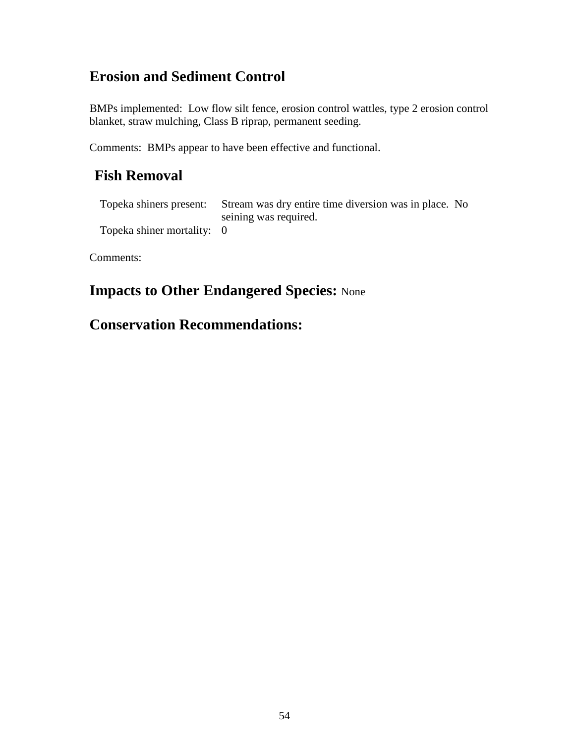BMPs implemented: Low flow silt fence, erosion control wattles, type 2 erosion control blanket, straw mulching, Class B riprap, permanent seeding.

Comments: BMPs appear to have been effective and functional.

## **Fish Removal**

Topeka shiners present: Stream was dry entire time diversion was in place. No seining was required. Topeka shiner mortality: 0

Comments:

## **Impacts to Other Endangered Species:** None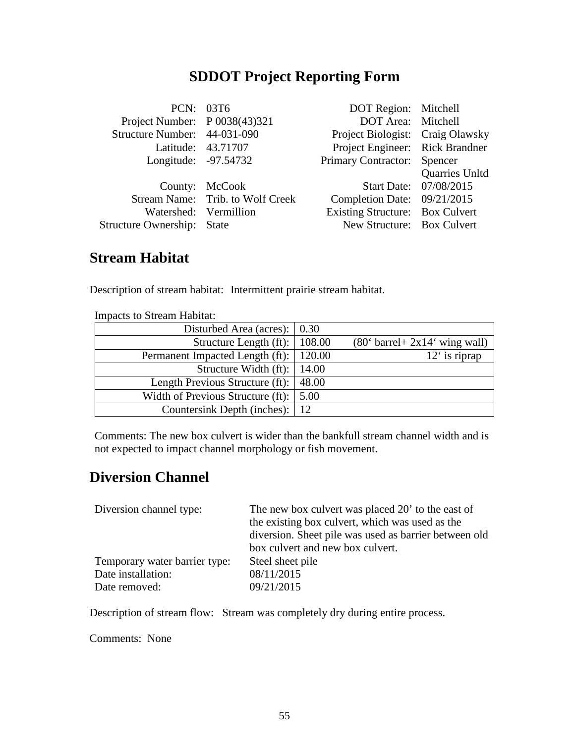|                                   | PCN: 03T6                        | DOT Region: Mitchell             |                        |
|-----------------------------------|----------------------------------|----------------------------------|------------------------|
| Project Number: P 0038(43)321     |                                  | DOT Area: Mitchell               |                        |
| Structure Number: 44-031-090      |                                  | Project Biologist: Craig Olawsky |                        |
|                                   | Latitude: 43.71707               | Project Engineer: Rick Brandner  |                        |
| Longitude: -97.54732              |                                  | Primary Contractor: Spencer      |                        |
|                                   |                                  |                                  | Quarries Unltd         |
|                                   | County: McCook                   |                                  | Start Date: 07/08/2015 |
|                                   | Stream Name: Trib. to Wolf Creek | Completion Date: 09/21/2015      |                        |
|                                   | Watershed: Vermillion            | Existing Structure: Box Culvert  |                        |
| <b>Structure Ownership: State</b> |                                  | New Structure: Box Culvert       |                        |
|                                   |                                  |                                  |                        |

#### **Stream Habitat**

Description of stream habitat: Intermittent prairie stream habitat.

| mnouves es s'avant riasitat.                 |       |                                                   |
|----------------------------------------------|-------|---------------------------------------------------|
| Disturbed Area (acres): $\vert 0.30 \rangle$ |       |                                                   |
| Structure Length $(ft)$ :   108.00           |       | $(80^{\circ}$ barrel + 2x14 $^{\circ}$ wing wall) |
| Permanent Impacted Length (ft):   120.00     |       | $12′$ is riprap                                   |
| Structure Width $(ft)$ :   14.00             |       |                                                   |
| Length Previous Structure (ft):              | 48.00 |                                                   |
| Width of Previous Structure (ft):            | 5.00  |                                                   |
| Countersink Depth (inches):   12             |       |                                                   |

Impacts to Stream Habitat:

Comments: The new box culvert is wider than the bankfull stream channel width and is not expected to impact channel morphology or fish movement.

#### **Diversion Channel**

| Diversion channel type:       | The new box culvert was placed 20' to the east of     |
|-------------------------------|-------------------------------------------------------|
|                               | the existing box culvert, which was used as the       |
|                               | diversion. Sheet pile was used as barrier between old |
|                               | box culvert and new box culvert.                      |
| Temporary water barrier type: | Steel sheet pile                                      |
| Date installation:            | 08/11/2015                                            |
| Date removed:                 | 09/21/2015                                            |

Description of stream flow: Stream was completely dry during entire process.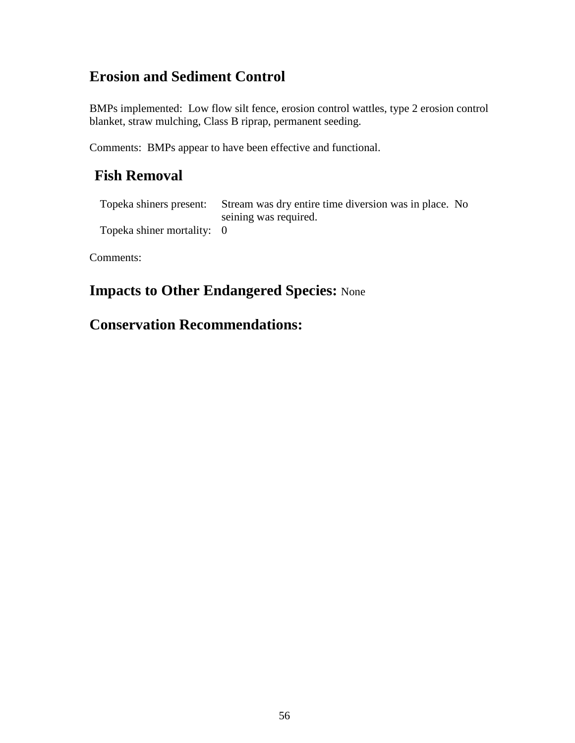BMPs implemented: Low flow silt fence, erosion control wattles, type 2 erosion control blanket, straw mulching, Class B riprap, permanent seeding.

Comments: BMPs appear to have been effective and functional.

## **Fish Removal**

Topeka shiners present: Stream was dry entire time diversion was in place. No seining was required. Topeka shiner mortality: 0

Comments:

## **Impacts to Other Endangered Species:** None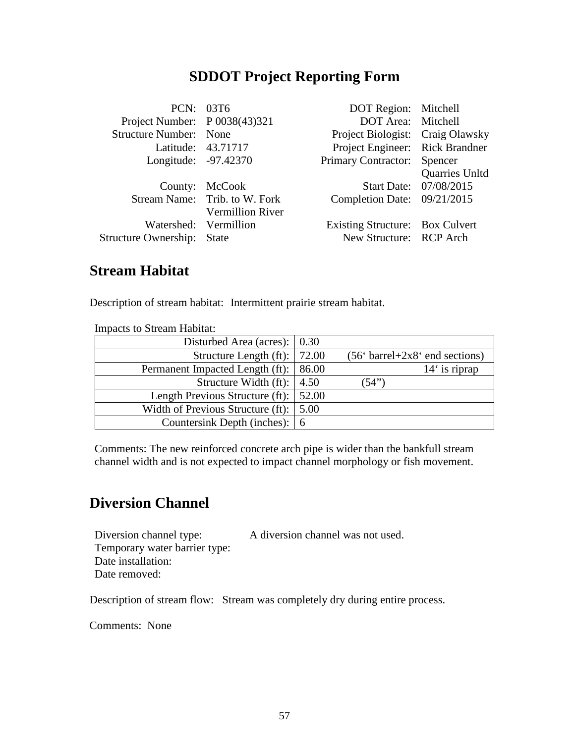|                                   | PCN: 03T6                     | DOT Region: Mitchell             |                        |
|-----------------------------------|-------------------------------|----------------------------------|------------------------|
| Project Number: P 0038(43)321     |                               | DOT Area: Mitchell               |                        |
| <b>Structure Number:</b> None     |                               | Project Biologist: Craig Olawsky |                        |
|                                   | Latitude: 43.71717            | Project Engineer: Rick Brandner  |                        |
| Longitude: -97.42370              |                               | Primary Contractor: Spencer      |                        |
|                                   |                               |                                  | Quarries Unltd         |
|                                   | County: McCook                |                                  | Start Date: 07/08/2015 |
|                                   | Stream Name: Trib. to W. Fork | Completion Date: 09/21/2015      |                        |
|                                   | <b>Vermillion River</b>       |                                  |                        |
| Watershed: Vermillion             |                               | Existing Structure: Box Culvert  |                        |
| <b>Structure Ownership: State</b> |                               | New Structure: RCP Arch          |                        |
|                                   |                               |                                  |                        |

#### **Stream Habitat**

Description of stream habitat: Intermittent prairie stream habitat.

| Impacts to bucam Habitat.                              |                                  |
|--------------------------------------------------------|----------------------------------|
| Disturbed Area (acres): $\vert 0.30 \rangle$           |                                  |
| Structure Length (ft): $\vert$ 72.00                   | $(566 barrel+2x86 end sections)$ |
| Permanent Impacted Length (ft): 86.00                  | $14'$ is riprap                  |
| Structure Width (ft): $\vert 4.50 \rangle$             | (54")                            |
| Length Previous Structure (ft): 52.00                  |                                  |
| Width of Previous Structure (ft): $\vert 5.00 \rangle$ |                                  |
| Countersink Depth (inches):   6                        |                                  |

Impacts to Stream Habitat:

Comments: The new reinforced concrete arch pipe is wider than the bankfull stream channel width and is not expected to impact channel morphology or fish movement.

#### **Diversion Channel**

| Diversion channel type:       | A diversion channel was not used. |
|-------------------------------|-----------------------------------|
| Temporary water barrier type: |                                   |
| Date installation:            |                                   |
| Date removed:                 |                                   |

Description of stream flow: Stream was completely dry during entire process.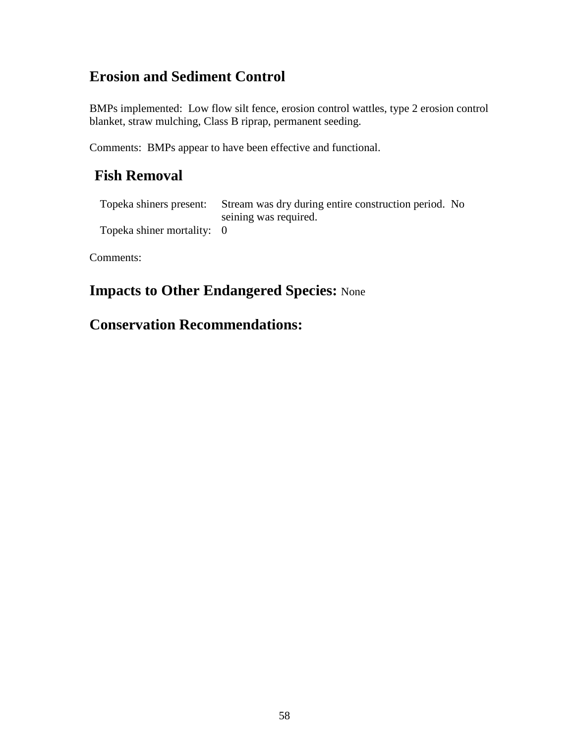BMPs implemented: Low flow silt fence, erosion control wattles, type 2 erosion control blanket, straw mulching, Class B riprap, permanent seeding.

Comments: BMPs appear to have been effective and functional.

## **Fish Removal**

Topeka shiners present: Stream was dry during entire construction period. No seining was required. Topeka shiner mortality: 0

Comments:

## **Impacts to Other Endangered Species:** None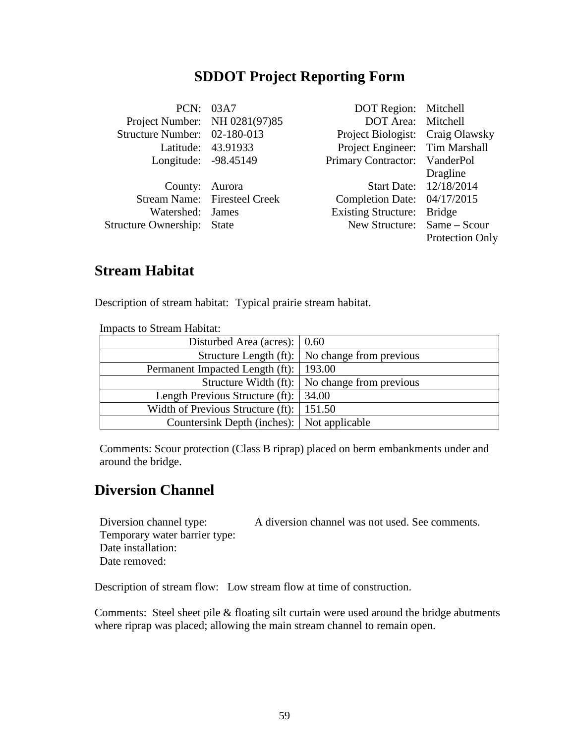|                               | PCN: 03A7                    | DOT Region: Mitchell             |                        |
|-------------------------------|------------------------------|----------------------------------|------------------------|
| Project Number: NH 0281(97)85 |                              | DOT Area: Mitchell               |                        |
| Structure Number: 02-180-013  |                              | Project Biologist: Craig Olawsky |                        |
|                               | Latitude: 43.91933           | Project Engineer: Tim Marshall   |                        |
| Longitude: -98.45149          |                              | Primary Contractor: VanderPol    |                        |
|                               |                              |                                  | Dragline               |
| County: Aurora                |                              |                                  | Start Date: 12/18/2014 |
|                               | Stream Name: Firesteel Creek | Completion Date: 04/17/2015      |                        |
| Watershed: James              |                              | Existing Structure: Bridge       |                        |
| Structure Ownership: State    |                              | New Structure: Same – Scour      |                        |
|                               |                              |                                  | <b>Protection Only</b> |
|                               |                              |                                  |                        |

## **Stream Habitat**

Description of stream habitat: Typical prairie stream habitat.

| <b>Impacts to Stream Habitat:</b>                |                                                  |
|--------------------------------------------------|--------------------------------------------------|
| Disturbed Area (acres): $\vert 0.60 \rangle$     |                                                  |
|                                                  | Structure Length (ft):   No change from previous |
| Permanent Impacted Length (ft):   193.00         |                                                  |
|                                                  | Structure Width (ft):   No change from previous  |
| Length Previous Structure (ft): 34.00            |                                                  |
| Width of Previous Structure (ft): $\vert$ 151.50 |                                                  |
| Countersink Depth (inches): Not applicable       |                                                  |

Comments: Scour protection (Class B riprap) placed on berm embankments under and around the bridge.

#### **Diversion Channel**

Diversion channel type: A diversion channel was not used. See comments. Temporary water barrier type: Date installation: Date removed:

Description of stream flow: Low stream flow at time of construction.

Comments: Steel sheet pile & floating silt curtain were used around the bridge abutments where riprap was placed; allowing the main stream channel to remain open.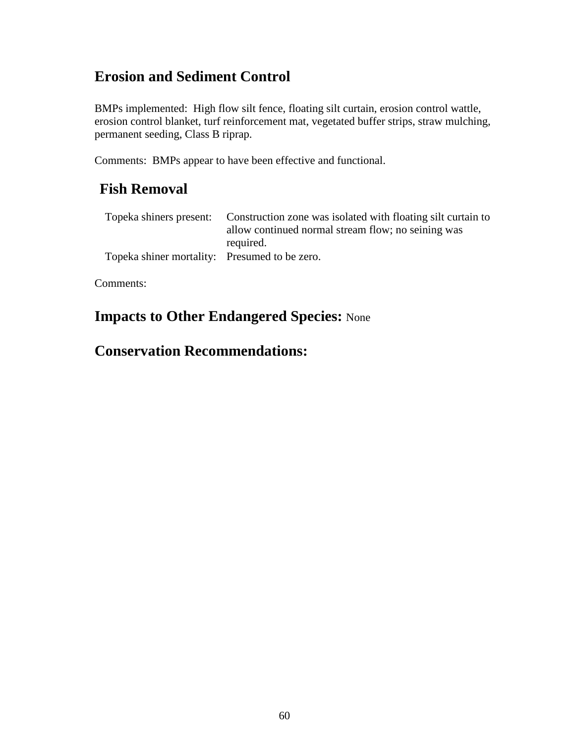BMPs implemented: High flow silt fence, floating silt curtain, erosion control wattle, erosion control blanket, turf reinforcement mat, vegetated buffer strips, straw mulching, permanent seeding, Class B riprap.

Comments: BMPs appear to have been effective and functional.

#### **Fish Removal**

|                                               | Topeka shiners present: Construction zone was isolated with floating silt curtain to |
|-----------------------------------------------|--------------------------------------------------------------------------------------|
|                                               | allow continued normal stream flow; no seining was                                   |
|                                               | required.                                                                            |
| Topeka shiner mortality: Presumed to be zero. |                                                                                      |

Comments:

## **Impacts to Other Endangered Species:** None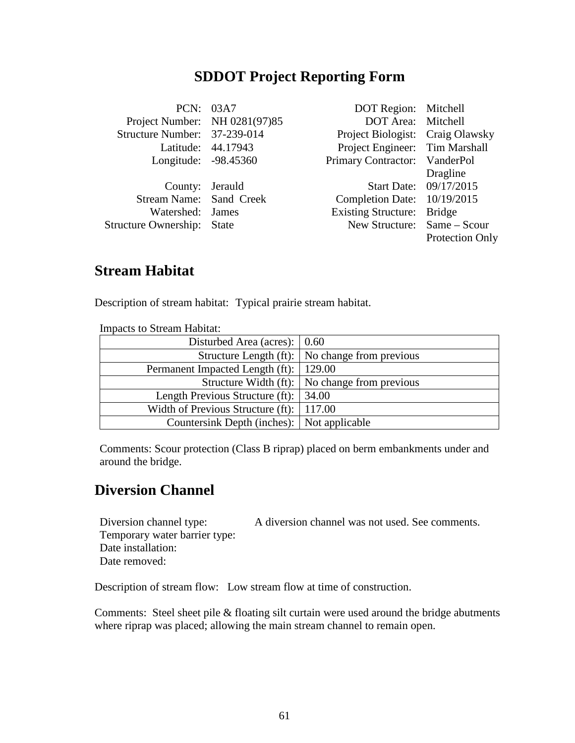|                                   | PCN: 03A7          | DOT Region: Mitchell             |                        |
|-----------------------------------|--------------------|----------------------------------|------------------------|
| Project Number: NH 0281(97)85     |                    | DOT Area: Mitchell               |                        |
| Structure Number: 37-239-014      |                    | Project Biologist: Craig Olawsky |                        |
|                                   | Latitude: 44.17943 | Project Engineer: Tim Marshall   |                        |
| Longitude: -98.45360              |                    | Primary Contractor: VanderPol    |                        |
|                                   |                    |                                  | Dragline               |
| County: Jerauld                   |                    |                                  | Start Date: 09/17/2015 |
| Stream Name: Sand Creek           |                    | Completion Date: 10/19/2015      |                        |
| Watershed: James                  |                    | Existing Structure: Bridge       |                        |
| <b>Structure Ownership:</b> State |                    | New Structure: Same – Scour      |                        |
|                                   |                    |                                  | <b>Protection Only</b> |

## **Stream Habitat**

Description of stream habitat: Typical prairie stream habitat.

| Impacts to bucam Habitat.                        |                                                       |  |
|--------------------------------------------------|-------------------------------------------------------|--|
| Disturbed Area (acres): $\vert 0.60 \rangle$     |                                                       |  |
|                                                  | Structure Length (ft):   No change from previous      |  |
| Permanent Impacted Length (ft):   129.00         |                                                       |  |
|                                                  | Structure Width (ft): $\vert$ No change from previous |  |
| Length Previous Structure (ft): $\vert$ 34.00    |                                                       |  |
| Width of Previous Structure (ft): $\vert$ 117.00 |                                                       |  |
| Countersink Depth (inches): Not applicable       |                                                       |  |

Impacts to Stream Habitat:

Comments: Scour protection (Class B riprap) placed on berm embankments under and around the bridge.

#### **Diversion Channel**

Diversion channel type: A diversion channel was not used. See comments. Temporary water barrier type: Date installation: Date removed:

Description of stream flow: Low stream flow at time of construction.

Comments: Steel sheet pile & floating silt curtain were used around the bridge abutments where riprap was placed; allowing the main stream channel to remain open.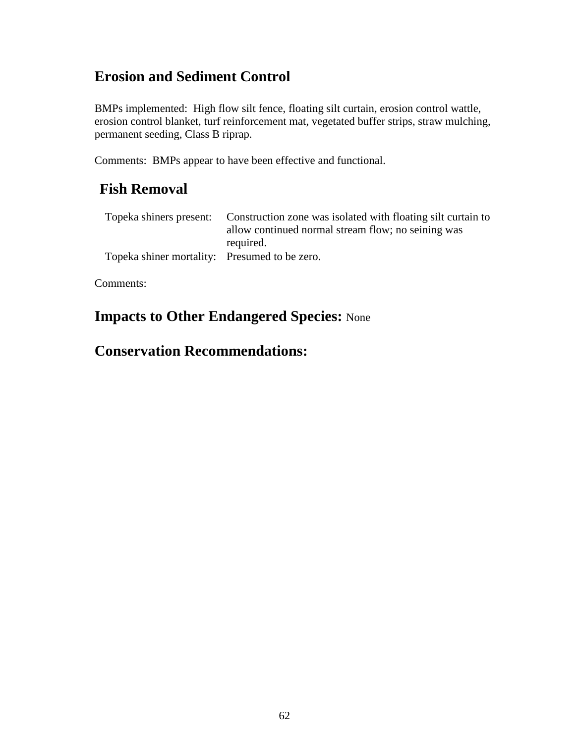BMPs implemented: High flow silt fence, floating silt curtain, erosion control wattle, erosion control blanket, turf reinforcement mat, vegetated buffer strips, straw mulching, permanent seeding, Class B riprap.

Comments: BMPs appear to have been effective and functional.

#### **Fish Removal**

|                                               | Topeka shiners present: Construction zone was isolated with floating silt curtain to |
|-----------------------------------------------|--------------------------------------------------------------------------------------|
|                                               | allow continued normal stream flow; no seining was                                   |
|                                               | required.                                                                            |
| Topeka shiner mortality: Presumed to be zero. |                                                                                      |

Comments:

## **Impacts to Other Endangered Species:** None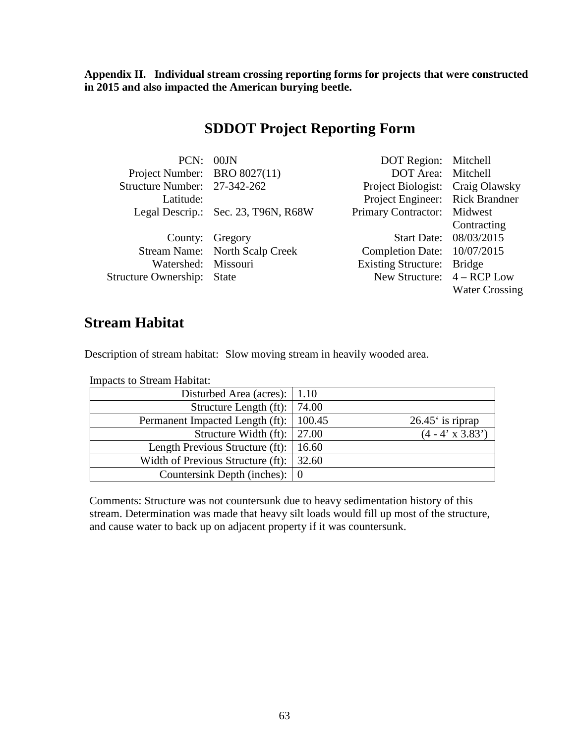**Appendix II. Individual stream crossing reporting forms for projects that were constructed in 2015 and also impacted the American burying beetle.**

#### **SDDOT Project Reporting Form**

| PCN: 00JN                         |                                     | DOT Region: Mitchell             |                        |
|-----------------------------------|-------------------------------------|----------------------------------|------------------------|
| Project Number: BRO 8027(11)      |                                     | DOT Area: Mitchell               |                        |
| Structure Number: 27-342-262      |                                     | Project Biologist: Craig Olawsky |                        |
| Latitude:                         |                                     | Project Engineer: Rick Brandner  |                        |
|                                   | Legal Descrip.: Sec. 23, T96N, R68W | Primary Contractor: Midwest      |                        |
|                                   |                                     |                                  | Contracting            |
|                                   | County: Gregory                     |                                  | Start Date: 08/03/2015 |
|                                   | Stream Name: North Scalp Creek      | Completion Date: 10/07/2015      |                        |
| Watershed: Missouri               |                                     | Existing Structure: Bridge       |                        |
| <b>Structure Ownership:</b> State |                                     | New Structure: $4 - RCP$ Low     |                        |
|                                   |                                     |                                  | <b>Water Crossing</b>  |

#### **Stream Habitat**

Description of stream habitat: Slow moving stream in heavily wooded area.

Impacts to Stream Habitat:

| Disturbed Area (acres):   1.10                  |                         |
|-------------------------------------------------|-------------------------|
| Structure Length (ft):   74.00                  |                         |
| Permanent Impacted Length (ft):   100.45        | $26.45$ is riprap       |
| Structure Width (ft): $\vert$ 27.00             | $(4 - 4' \times 3.83')$ |
| Length Previous Structure (ft):   16.60         |                         |
| Width of Previous Structure (ft): $\vert$ 32.60 |                         |
| Countersink Depth (inches): $\vert 0 \rangle$   |                         |

Comments: Structure was not countersunk due to heavy sedimentation history of this stream. Determination was made that heavy silt loads would fill up most of the structure, and cause water to back up on adjacent property if it was countersunk.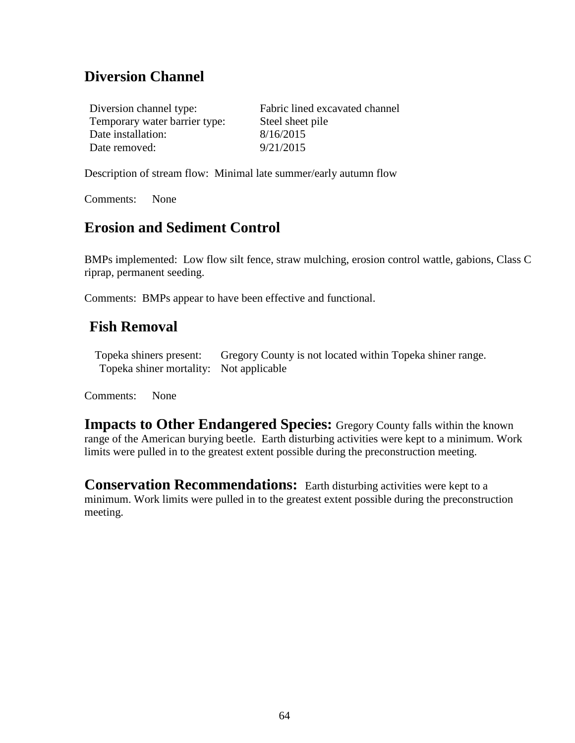## **Diversion Channel**

Diversion channel type: Fabric lined excavated channel Temporary water barrier type: Steel sheet pile Date installation: 8/16/2015 Date removed: 9/21/2015

Description of stream flow: Minimal late summer/early autumn flow

Comments: None

#### **Erosion and Sediment Control**

BMPs implemented: Low flow silt fence, straw mulching, erosion control wattle, gabions, Class C riprap, permanent seeding.

Comments: BMPs appear to have been effective and functional.

#### **Fish Removal**

Topeka shiners present: Gregory County is not located within Topeka shiner range. Topeka shiner mortality: Not applicable

Comments: None

**Impacts to Other Endangered Species:** Gregory County falls within the known range of the American burying beetle. Earth disturbing activities were kept to a minimum. Work limits were pulled in to the greatest extent possible during the preconstruction meeting.

**Conservation Recommendations:** Earth disturbing activities were kept to a minimum. Work limits were pulled in to the greatest extent possible during the preconstruction meeting.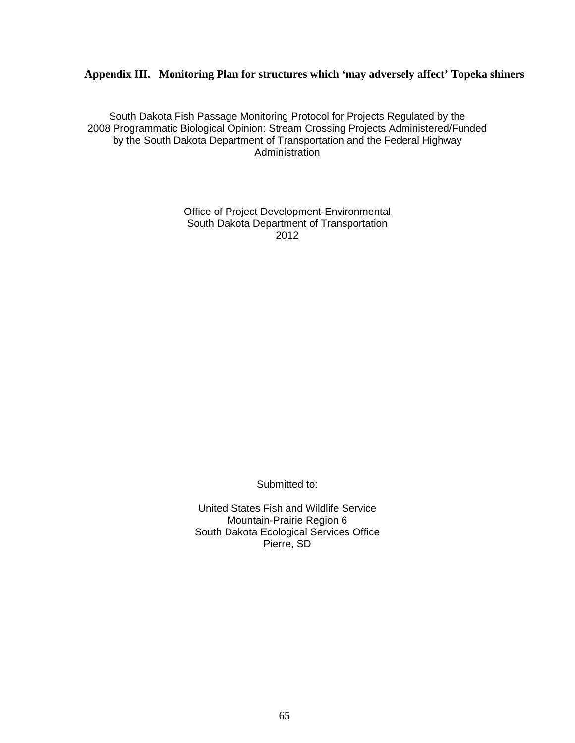#### **Appendix III. Monitoring Plan for structures which 'may adversely affect' Topeka shiners**

South Dakota Fish Passage Monitoring Protocol for Projects Regulated by the 2008 Programmatic Biological Opinion: Stream Crossing Projects Administered/Funded by the South Dakota Department of Transportation and the Federal Highway Administration

> Office of Project Development-Environmental South Dakota Department of Transportation 2012

> > Submitted to:

United States Fish and Wildlife Service Mountain-Prairie Region 6 South Dakota Ecological Services Office Pierre, SD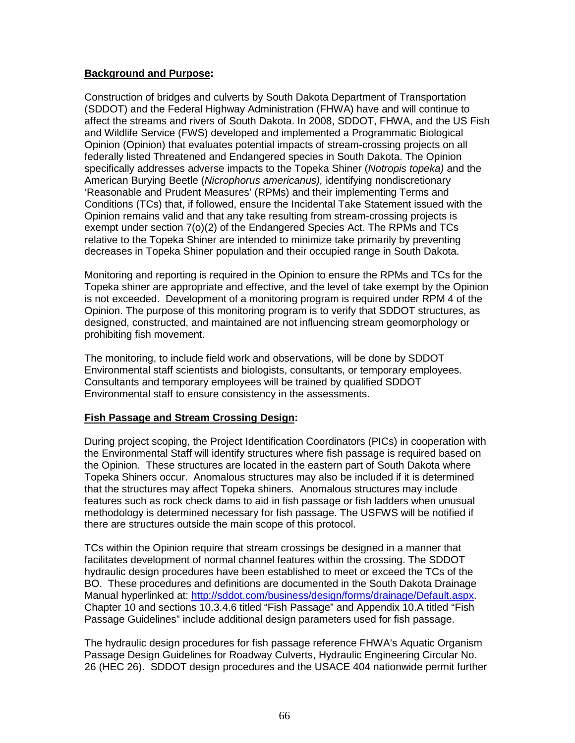#### **Background and Purpose:**

Construction of bridges and culverts by South Dakota Department of Transportation (SDDOT) and the Federal Highway Administration (FHWA) have and will continue to affect the streams and rivers of South Dakota. In 2008, SDDOT, FHWA, and the US Fish and Wildlife Service (FWS) developed and implemented a Programmatic Biological Opinion (Opinion) that evaluates potential impacts of stream-crossing projects on all federally listed Threatened and Endangered species in South Dakota. The Opinion specifically addresses adverse impacts to the Topeka Shiner (*Notropis topeka)* and the American Burying Beetle (*Nicrophorus americanus),* identifying nondiscretionary 'Reasonable and Prudent Measures' (RPMs) and their implementing Terms and Conditions (TCs) that, if followed, ensure the Incidental Take Statement issued with the Opinion remains valid and that any take resulting from stream-crossing projects is exempt under section 7(o)(2) of the Endangered Species Act. The RPMs and TCs relative to the Topeka Shiner are intended to minimize take primarily by preventing decreases in Topeka Shiner population and their occupied range in South Dakota.

Monitoring and reporting is required in the Opinion to ensure the RPMs and TCs for the Topeka shiner are appropriate and effective, and the level of take exempt by the Opinion is not exceeded. Development of a monitoring program is required under RPM 4 of the Opinion. The purpose of this monitoring program is to verify that SDDOT structures, as designed, constructed, and maintained are not influencing stream geomorphology or prohibiting fish movement.

The monitoring, to include field work and observations, will be done by SDDOT Environmental staff scientists and biologists, consultants, or temporary employees. Consultants and temporary employees will be trained by qualified SDDOT Environmental staff to ensure consistency in the assessments.

#### **Fish Passage and Stream Crossing Design:**

During project scoping, the Project Identification Coordinators (PICs) in cooperation with the Environmental Staff will identify structures where fish passage is required based on the Opinion. These structures are located in the eastern part of South Dakota where Topeka Shiners occur. Anomalous structures may also be included if it is determined that the structures may affect Topeka shiners. Anomalous structures may include features such as rock check dams to aid in fish passage or fish ladders when unusual methodology is determined necessary for fish passage. The USFWS will be notified if there are structures outside the main scope of this protocol.

TCs within the Opinion require that stream crossings be designed in a manner that facilitates development of normal channel features within the crossing. The SDDOT hydraulic design procedures have been established to meet or exceed the TCs of the BO. These procedures and definitions are documented in the South Dakota Drainage Manual hyperlinked at: [http://sddot.com/business/design/forms/drainage/Default.aspx.](http://sddot.com/business/design/forms/drainage/Default.aspx) Chapter 10 and sections 10.3.4.6 titled "Fish Passage" and Appendix 10.A titled "Fish Passage Guidelines" include additional design parameters used for fish passage.

The hydraulic design procedures for fish passage reference FHWA's Aquatic Organism Passage Design Guidelines for Roadway Culverts, Hydraulic Engineering Circular No. 26 (HEC 26). SDDOT design procedures and the USACE 404 nationwide permit further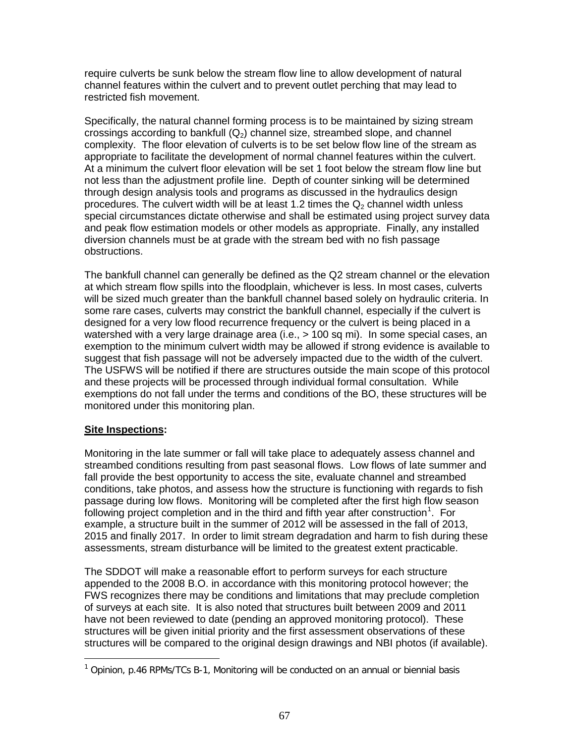require culverts be sunk below the stream flow line to allow development of natural channel features within the culvert and to prevent outlet perching that may lead to restricted fish movement.

Specifically, the natural channel forming process is to be maintained by sizing stream crossings according to bankfull  $(Q_2)$  channel size, streambed slope, and channel complexity. The floor elevation of culverts is to be set below flow line of the stream as appropriate to facilitate the development of normal channel features within the culvert. At a minimum the culvert floor elevation will be set 1 foot below the stream flow line but not less than the adjustment profile line. Depth of counter sinking will be determined through design analysis tools and programs as discussed in the hydraulics design procedures. The culvert width will be at least 1.2 times the  $Q<sub>2</sub>$  channel width unless special circumstances dictate otherwise and shall be estimated using project survey data and peak flow estimation models or other models as appropriate. Finally, any installed diversion channels must be at grade with the stream bed with no fish passage obstructions.

The bankfull channel can generally be defined as the Q2 stream channel or the elevation at which stream flow spills into the floodplain, whichever is less. In most cases, culverts will be sized much greater than the bankfull channel based solely on hydraulic criteria. In some rare cases, culverts may constrict the bankfull channel, especially if the culvert is designed for a very low flood recurrence frequency or the culvert is being placed in a watershed with a very large drainage area (i.e., > 100 sq mi). In some special cases, an exemption to the minimum culvert width may be allowed if strong evidence is available to suggest that fish passage will not be adversely impacted due to the width of the culvert. The USFWS will be notified if there are structures outside the main scope of this protocol and these projects will be processed through individual formal consultation. While exemptions do not fall under the terms and conditions of the BO, these structures will be monitored under this monitoring plan.

#### **Site Inspections:**

 $\overline{a}$ 

Monitoring in the late summer or fall will take place to adequately assess channel and streambed conditions resulting from past seasonal flows. Low flows of late summer and fall provide the best opportunity to access the site, evaluate channel and streambed conditions, take photos, and assess how the structure is functioning with regards to fish passage during low flows. Monitoring will be completed after the first high flow season following project completion and in the third and fifth year after construction<sup>[1](#page-66-0)</sup>. For example, a structure built in the summer of 2012 will be assessed in the fall of 2013, 2015 and finally 2017. In order to limit stream degradation and harm to fish during these assessments, stream disturbance will be limited to the greatest extent practicable.

The SDDOT will make a reasonable effort to perform surveys for each structure appended to the 2008 B.O. in accordance with this monitoring protocol however; the FWS recognizes there may be conditions and limitations that may preclude completion of surveys at each site. It is also noted that structures built between 2009 and 2011 have not been reviewed to date (pending an approved monitoring protocol). These structures will be given initial priority and the first assessment observations of these structures will be compared to the original design drawings and NBI photos (if available).

<span id="page-66-0"></span><sup>&</sup>lt;sup>1</sup> Opinion, p.46 RPMs/TCs B-1, Monitoring will be conducted on an annual or biennial basis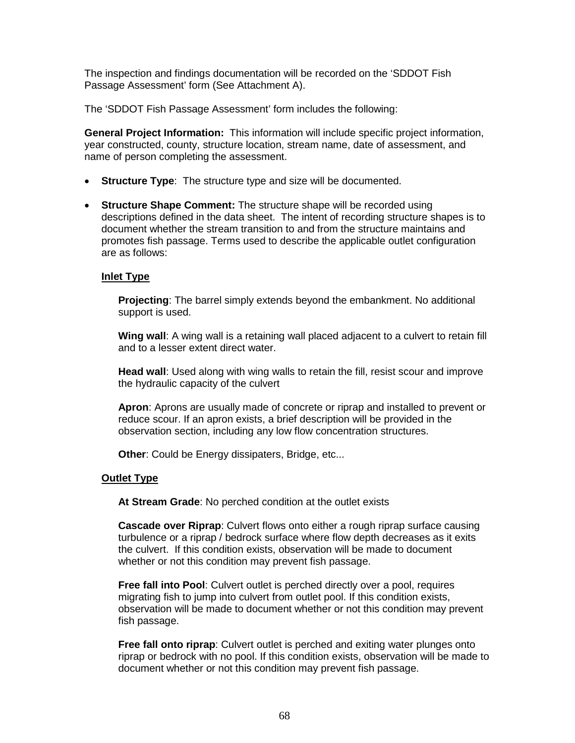The inspection and findings documentation will be recorded on the 'SDDOT Fish Passage Assessment' form (See Attachment A).

The 'SDDOT Fish Passage Assessment' form includes the following:

**General Project Information:** This information will include specific project information, year constructed, county, structure location, stream name, date of assessment, and name of person completing the assessment.

- **Structure Type**: The structure type and size will be documented.
- **Structure Shape Comment:** The structure shape will be recorded using descriptions defined in the data sheet. The intent of recording structure shapes is to document whether the stream transition to and from the structure maintains and promotes fish passage. Terms used to describe the applicable outlet configuration are as follows:

#### **Inlet Type**

**Projecting**: The barrel simply extends beyond the embankment. No additional support is used.

**Wing wall**: A wing wall is a retaining wall placed adjacent to a culvert to retain fill and to a lesser extent direct water.

**Head wall**: Used along with wing walls to retain the fill, resist scour and improve the hydraulic capacity of the culvert

**Apron**: Aprons are usually made of concrete or riprap and installed to prevent or reduce scour. If an apron exists, a brief description will be provided in the observation section, including any low flow concentration structures.

**Other:** Could be Energy dissipaters, Bridge, etc...

#### **Outlet Type**

**At Stream Grade**: No perched condition at the outlet exists

**Cascade over Riprap**: Culvert flows onto either a rough riprap surface causing turbulence or a riprap / bedrock surface where flow depth decreases as it exits the culvert. If this condition exists, observation will be made to document whether or not this condition may prevent fish passage.

**Free fall into Pool**: Culvert outlet is perched directly over a pool, requires migrating fish to jump into culvert from outlet pool. If this condition exists, observation will be made to document whether or not this condition may prevent fish passage.

**Free fall onto riprap**: Culvert outlet is perched and exiting water plunges onto riprap or bedrock with no pool. If this condition exists, observation will be made to document whether or not this condition may prevent fish passage.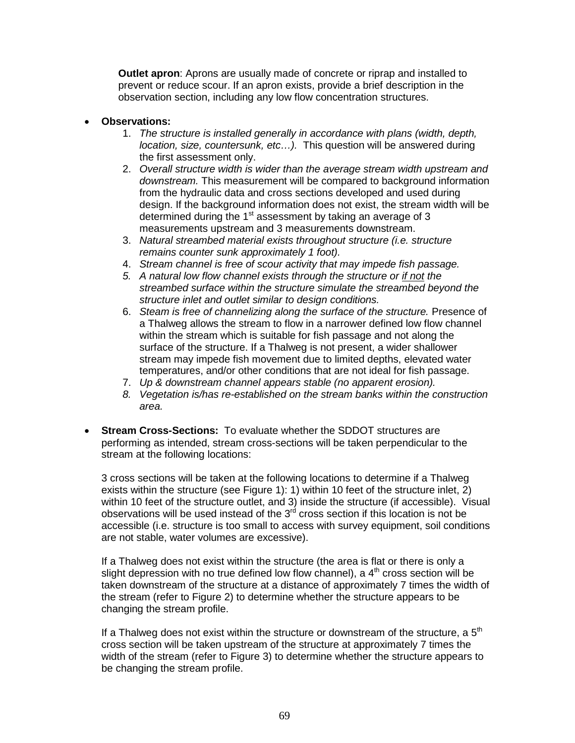**Outlet apron**: Aprons are usually made of concrete or riprap and installed to prevent or reduce scour. If an apron exists, provide a brief description in the observation section, including any low flow concentration structures.

#### • **Observations:**

- 1. *The structure is installed generally in accordance with plans (width, depth, location, size, countersunk, etc…).* This question will be answered during the first assessment only.
- 2. *Overall structure width is wider than the average stream width upstream and downstream.* This measurement will be compared to background information from the hydraulic data and cross sections developed and used during design. If the background information does not exist, the stream width will be determined during the  $1<sup>st</sup>$  assessment by taking an average of 3 measurements upstream and 3 measurements downstream.
- 3. *Natural streambed material exists throughout structure (i.e. structure remains counter sunk approximately 1 foot).*
- 4. *Stream channel is free of scour activity that may impede fish passage.*
- *5. A natural low flow channel exists through the structure or if not the streambed surface within the structure simulate the streambed beyond the structure inlet and outlet similar to design conditions.*
- 6. *Steam is free of channelizing along the surface of the structure.* Presence of a Thalweg allows the stream to flow in a narrower defined low flow channel within the stream which is suitable for fish passage and not along the surface of the structure. If a Thalweg is not present, a wider shallower stream may impede fish movement due to limited depths, elevated water temperatures, and/or other conditions that are not ideal for fish passage.
- 7. *Up & downstream channel appears stable (no apparent erosion).*
- *8. Vegetation is/has re-established on the stream banks within the construction area.*
- **Stream Cross-Sections:** To evaluate whether the SDDOT structures are performing as intended, stream cross-sections will be taken perpendicular to the stream at the following locations:

3 cross sections will be taken at the following locations to determine if a Thalweg exists within the structure (see Figure 1): 1) within 10 feet of the structure inlet, 2) within 10 feet of the structure outlet, and 3) inside the structure (if accessible). Visual observations will be used instead of the  $3<sup>rd</sup>$  cross section if this location is not be accessible (i.e. structure is too small to access with survey equipment, soil conditions are not stable, water volumes are excessive).

If a Thalweg does not exist within the structure (the area is flat or there is only a slight depression with no true defined low flow channel), a  $4<sup>th</sup>$  cross section will be taken downstream of the structure at a distance of approximately 7 times the width of the stream (refer to Figure 2) to determine whether the structure appears to be changing the stream profile.

If a Thalweg does not exist within the structure or downstream of the structure, a  $5<sup>th</sup>$ cross section will be taken upstream of the structure at approximately 7 times the width of the stream (refer to Figure 3) to determine whether the structure appears to be changing the stream profile.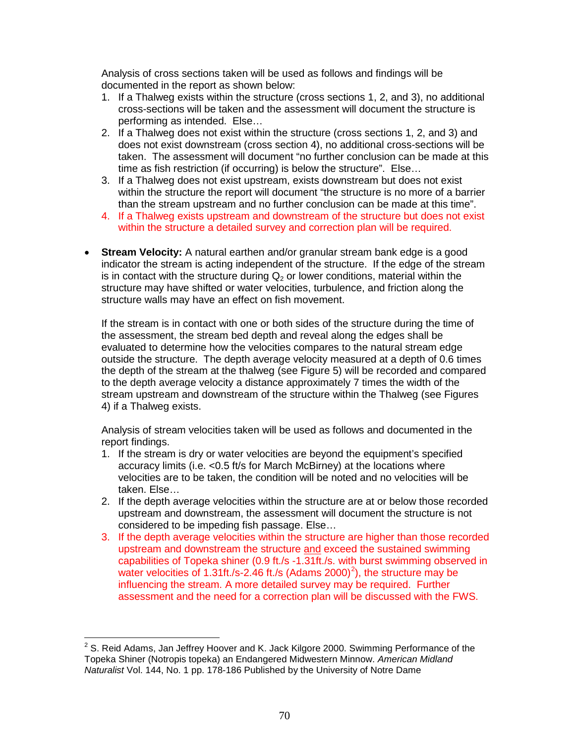Analysis of cross sections taken will be used as follows and findings will be documented in the report as shown below:

- 1. If a Thalweg exists within the structure (cross sections 1, 2, and 3), no additional cross-sections will be taken and the assessment will document the structure is performing as intended. Else…
- 2. If a Thalweg does not exist within the structure (cross sections 1, 2, and 3) and does not exist downstream (cross section 4), no additional cross-sections will be taken. The assessment will document "no further conclusion can be made at this time as fish restriction (if occurring) is below the structure". Else…
- 3. If a Thalweg does not exist upstream, exists downstream but does not exist within the structure the report will document "the structure is no more of a barrier than the stream upstream and no further conclusion can be made at this time".
- 4. If a Thalweg exists upstream and downstream of the structure but does not exist within the structure a detailed survey and correction plan will be required.
- **Stream Velocity:** A natural earthen and/or granular stream bank edge is a good indicator the stream is acting independent of the structure. If the edge of the stream is in contact with the structure during  $Q<sub>2</sub>$  or lower conditions, material within the structure may have shifted or water velocities, turbulence, and friction along the structure walls may have an effect on fish movement.

If the stream is in contact with one or both sides of the structure during the time of the assessment, the stream bed depth and reveal along the edges shall be evaluated to determine how the velocities compares to the natural stream edge outside the structure. The depth average velocity measured at a depth of 0.6 times the depth of the stream at the thalweg (see Figure 5) will be recorded and compared to the depth average velocity a distance approximately 7 times the width of the stream upstream and downstream of the structure within the Thalweg (see Figures 4) if a Thalweg exists.

Analysis of stream velocities taken will be used as follows and documented in the report findings.

- 1. If the stream is dry or water velocities are beyond the equipment's specified accuracy limits (i.e. <0.5 ft/s for March McBirney) at the locations where velocities are to be taken, the condition will be noted and no velocities will be taken. Else…
- 2. If the depth average velocities within the structure are at or below those recorded upstream and downstream, the assessment will document the structure is not considered to be impeding fish passage. Else…
- 3. If the depth average velocities within the structure are higher than those recorded upstream and downstream the structure and exceed the sustained swimming capabilities of Topeka shiner (0.9 ft./s -1.31ft./s. with burst swimming observed in water velocities of 1.31ft./s-[2](#page-69-0).46 ft./s (Adams 2000)<sup>2</sup>), the structure may be influencing the stream. A more detailed survey may be required. Further assessment and the need for a correction plan will be discussed with the FWS.

<span id="page-69-0"></span> $2$  S. Reid Adams, Jan Jeffrey Hoover and K. Jack Kilgore 2000. Swimming Performance of the Topeka Shiner (Notropis topeka) an Endangered Midwestern Minnow. *American Midland Naturalist* Vol. 144, No. 1 pp. 178-186 Published by the University of Notre Dame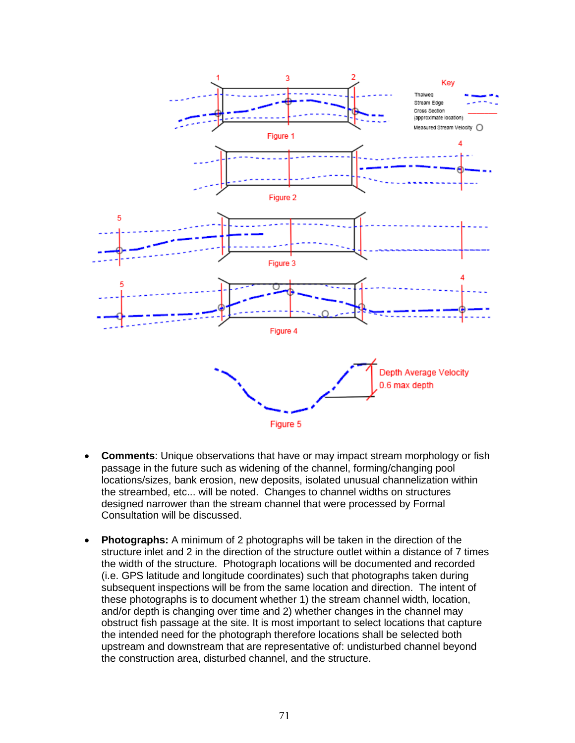

- **Comments**: Unique observations that have or may impact stream morphology or fish passage in the future such as widening of the channel, forming/changing pool locations/sizes, bank erosion, new deposits, isolated unusual channelization within the streambed, etc... will be noted. Changes to channel widths on structures designed narrower than the stream channel that were processed by Formal Consultation will be discussed.
- **Photographs:** A minimum of 2 photographs will be taken in the direction of the structure inlet and 2 in the direction of the structure outlet within a distance of 7 times the width of the structure. Photograph locations will be documented and recorded (i.e. GPS latitude and longitude coordinates) such that photographs taken during subsequent inspections will be from the same location and direction. The intent of these photographs is to document whether 1) the stream channel width, location, and/or depth is changing over time and 2) whether changes in the channel may obstruct fish passage at the site. It is most important to select locations that capture the intended need for the photograph therefore locations shall be selected both upstream and downstream that are representative of: undisturbed channel beyond the construction area, disturbed channel, and the structure.